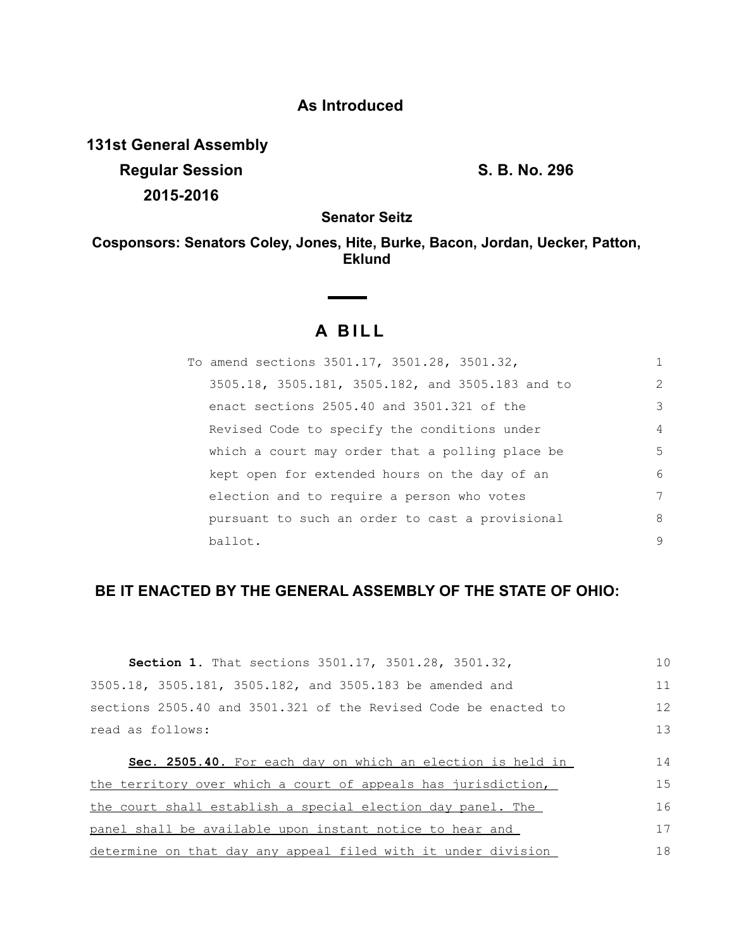# **As Introduced**

**131st General Assembly Regular Session S. B. No. 296 2015-2016**

**Senator Seitz**

**Cosponsors: Senators Coley, Jones, Hite, Burke, Bacon, Jordan, Uecker, Patton, Eklund**

## **A BILL**

**Contract Contract Contract** 

| To amend sections 3501.17, 3501.28, 3501.32,     | 1 |
|--------------------------------------------------|---|
| 3505.18, 3505.181, 3505.182, and 3505.183 and to | 2 |
| enact sections 2505.40 and 3501.321 of the       | 3 |
| Revised Code to specify the conditions under     | 4 |
| which a court may order that a polling place be  | 5 |
| kept open for extended hours on the day of an    | 6 |
| election and to require a person who votes       | 7 |
| pursuant to such an order to cast a provisional  | 8 |
| ballot.                                          | 9 |

## **BE IT ENACTED BY THE GENERAL ASSEMBLY OF THE STATE OF OHIO:**

| <b>Section 1.</b> That sections 3501.17, 3501.28, 3501.32,      | 1 <sub>0</sub> |
|-----------------------------------------------------------------|----------------|
| 3505.18, 3505.181, 3505.182, and 3505.183 be amended and        | 11             |
| sections 2505.40 and 3501.321 of the Revised Code be enacted to | 12             |
| read as follows:                                                | 13             |
| Sec. 2505.40. For each day on which an election is held in      | 14             |
| the territory over which a court of appeals has jurisdiction,   | 15             |
| the court shall establish a special election day panel. The     | 16             |
| panel shall be available upon instant notice to hear and        | 17             |
| determine on that day any appeal filed with it under division   | 18             |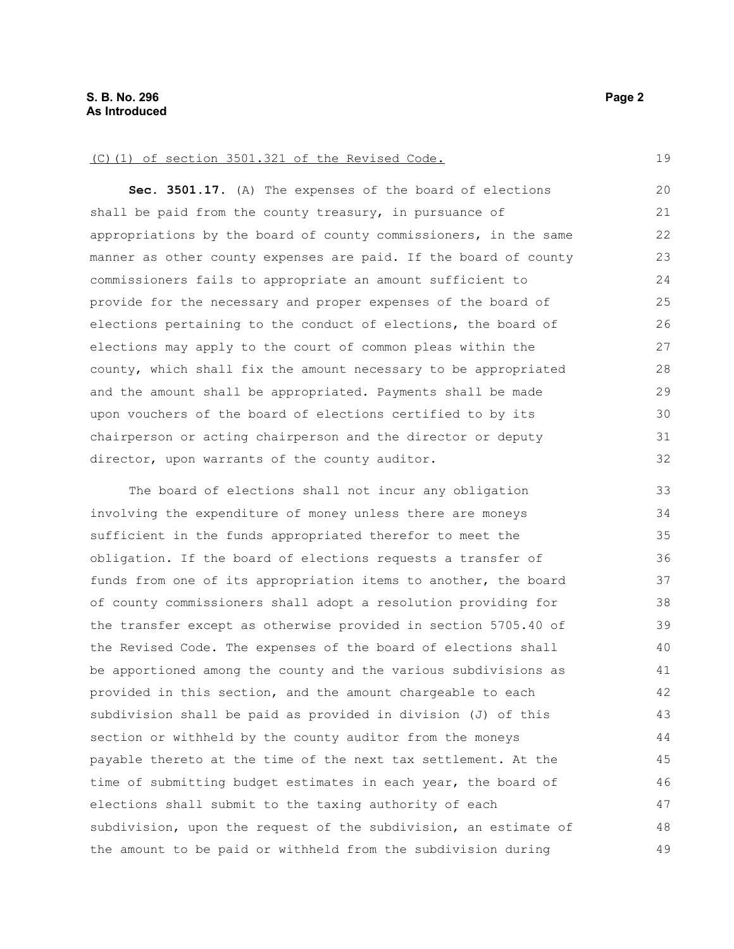#### (C)(1) of section 3501.321 of the Revised Code.

**Sec. 3501.17.** (A) The expenses of the board of elections shall be paid from the county treasury, in pursuance of appropriations by the board of county commissioners, in the same manner as other county expenses are paid. If the board of county commissioners fails to appropriate an amount sufficient to provide for the necessary and proper expenses of the board of elections pertaining to the conduct of elections, the board of elections may apply to the court of common pleas within the county, which shall fix the amount necessary to be appropriated and the amount shall be appropriated. Payments shall be made upon vouchers of the board of elections certified to by its chairperson or acting chairperson and the director or deputy director, upon warrants of the county auditor. 20 21 22 23 24 25 26 27 28 29 30 31 32

The board of elections shall not incur any obligation involving the expenditure of money unless there are moneys sufficient in the funds appropriated therefor to meet the obligation. If the board of elections requests a transfer of funds from one of its appropriation items to another, the board of county commissioners shall adopt a resolution providing for the transfer except as otherwise provided in section 5705.40 of the Revised Code. The expenses of the board of elections shall be apportioned among the county and the various subdivisions as provided in this section, and the amount chargeable to each subdivision shall be paid as provided in division (J) of this section or withheld by the county auditor from the moneys payable thereto at the time of the next tax settlement. At the time of submitting budget estimates in each year, the board of elections shall submit to the taxing authority of each subdivision, upon the request of the subdivision, an estimate of the amount to be paid or withheld from the subdivision during 33 34 35 36 37 38 39 40 41 42 43 44 45 46 47 48 49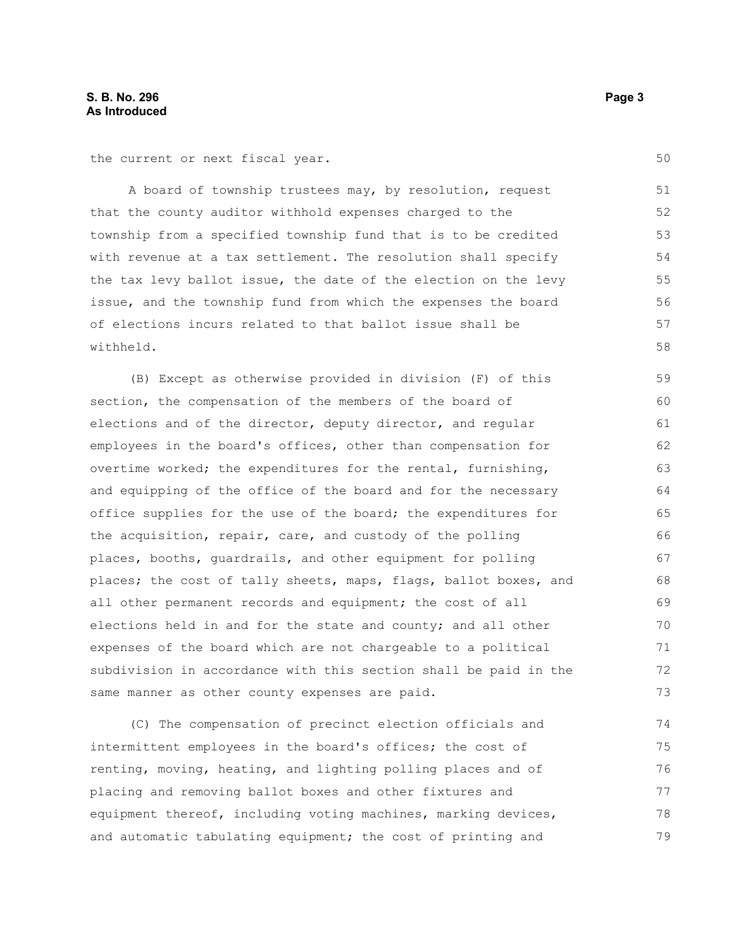the current or next fiscal year.

A board of township trustees may, by resolution, request that the county auditor withhold expenses charged to the township from a specified township fund that is to be credited with revenue at a tax settlement. The resolution shall specify the tax levy ballot issue, the date of the election on the levy issue, and the township fund from which the expenses the board of elections incurs related to that ballot issue shall be withheld. 51 52 53 54 55 56 57 58

(B) Except as otherwise provided in division (F) of this section, the compensation of the members of the board of elections and of the director, deputy director, and regular employees in the board's offices, other than compensation for overtime worked; the expenditures for the rental, furnishing, and equipping of the office of the board and for the necessary office supplies for the use of the board; the expenditures for the acquisition, repair, care, and custody of the polling places, booths, guardrails, and other equipment for polling places; the cost of tally sheets, maps, flags, ballot boxes, and all other permanent records and equipment; the cost of all elections held in and for the state and county; and all other expenses of the board which are not chargeable to a political subdivision in accordance with this section shall be paid in the same manner as other county expenses are paid. 59 60 61 62 63 64 65 66 67 68 69 70 71 72 73

(C) The compensation of precinct election officials and intermittent employees in the board's offices; the cost of renting, moving, heating, and lighting polling places and of placing and removing ballot boxes and other fixtures and equipment thereof, including voting machines, marking devices, and automatic tabulating equipment; the cost of printing and 74 75 76 77 78 79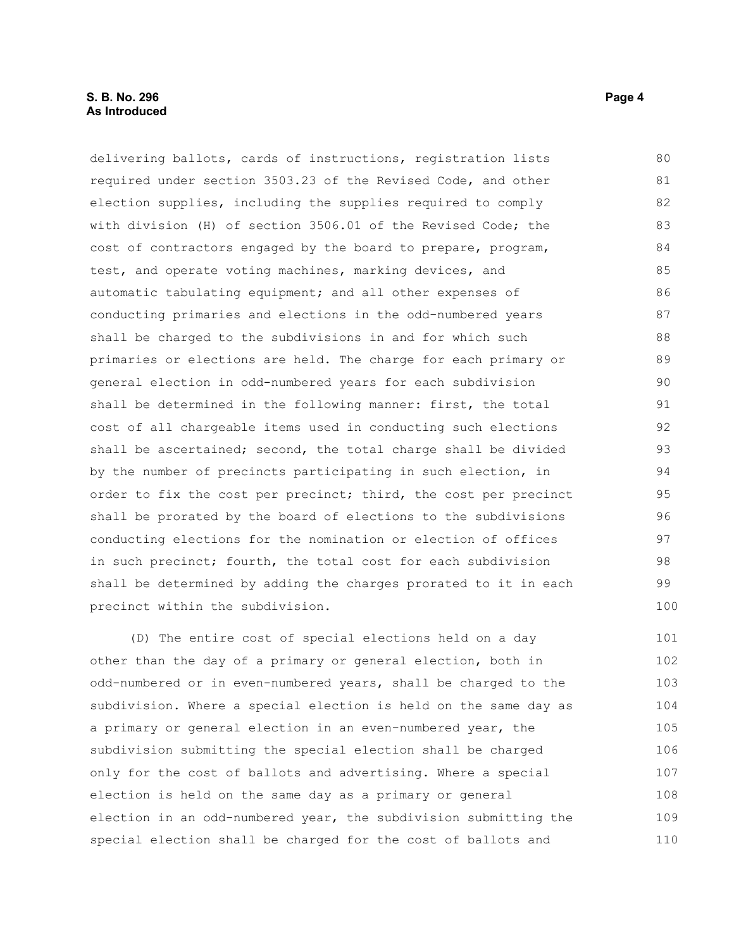### **S. B. No. 296 Page 4 Page 4 Page 4 Page 4 Page 4 Page 4 Page 4 Page 4 As Introduced**

delivering ballots, cards of instructions, registration lists required under section 3503.23 of the Revised Code, and other election supplies, including the supplies required to comply with division (H) of section 3506.01 of the Revised Code; the cost of contractors engaged by the board to prepare, program, test, and operate voting machines, marking devices, and automatic tabulating equipment; and all other expenses of conducting primaries and elections in the odd-numbered years shall be charged to the subdivisions in and for which such primaries or elections are held. The charge for each primary or general election in odd-numbered years for each subdivision shall be determined in the following manner: first, the total cost of all chargeable items used in conducting such elections shall be ascertained; second, the total charge shall be divided by the number of precincts participating in such election, in order to fix the cost per precinct; third, the cost per precinct shall be prorated by the board of elections to the subdivisions conducting elections for the nomination or election of offices in such precinct; fourth, the total cost for each subdivision shall be determined by adding the charges prorated to it in each precinct within the subdivision. 80 81 82 83 84 85 86 87 88 89 90 91 92 93 94 95 96 97 98 99 100

(D) The entire cost of special elections held on a day other than the day of a primary or general election, both in odd-numbered or in even-numbered years, shall be charged to the subdivision. Where a special election is held on the same day as a primary or general election in an even-numbered year, the subdivision submitting the special election shall be charged only for the cost of ballots and advertising. Where a special election is held on the same day as a primary or general election in an odd-numbered year, the subdivision submitting the special election shall be charged for the cost of ballots and 101 102 103 104 105 106 107 108 109 110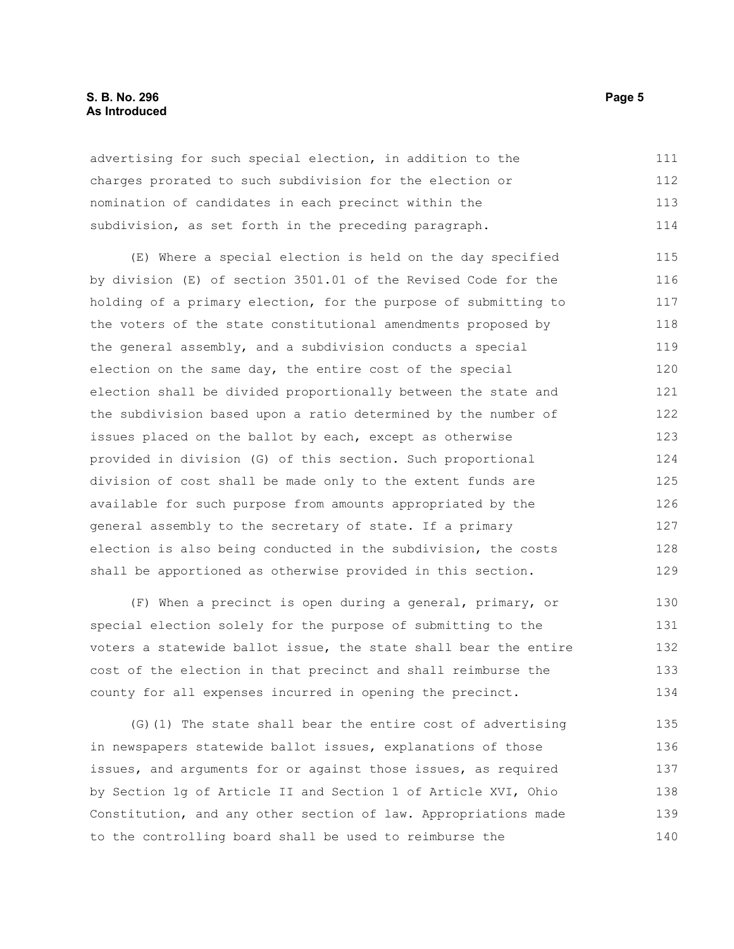### **S. B. No. 296 Page 5 As Introduced**

advertising for such special election, in addition to the charges prorated to such subdivision for the election or nomination of candidates in each precinct within the subdivision, as set forth in the preceding paragraph. 111 112 113 114

(E) Where a special election is held on the day specified by division (E) of section 3501.01 of the Revised Code for the holding of a primary election, for the purpose of submitting to the voters of the state constitutional amendments proposed by the general assembly, and a subdivision conducts a special election on the same day, the entire cost of the special election shall be divided proportionally between the state and the subdivision based upon a ratio determined by the number of issues placed on the ballot by each, except as otherwise provided in division (G) of this section. Such proportional division of cost shall be made only to the extent funds are available for such purpose from amounts appropriated by the general assembly to the secretary of state. If a primary election is also being conducted in the subdivision, the costs shall be apportioned as otherwise provided in this section. 115 116 117 118 119 120 121 122 123 124 125 126 127 128 129

(F) When a precinct is open during a general, primary, or special election solely for the purpose of submitting to the voters a statewide ballot issue, the state shall bear the entire cost of the election in that precinct and shall reimburse the county for all expenses incurred in opening the precinct. 130 131 132 133 134

(G)(1) The state shall bear the entire cost of advertising in newspapers statewide ballot issues, explanations of those issues, and arguments for or against those issues, as required by Section 1g of Article II and Section 1 of Article XVI, Ohio Constitution, and any other section of law. Appropriations made to the controlling board shall be used to reimburse the 135 136 137 138 139 140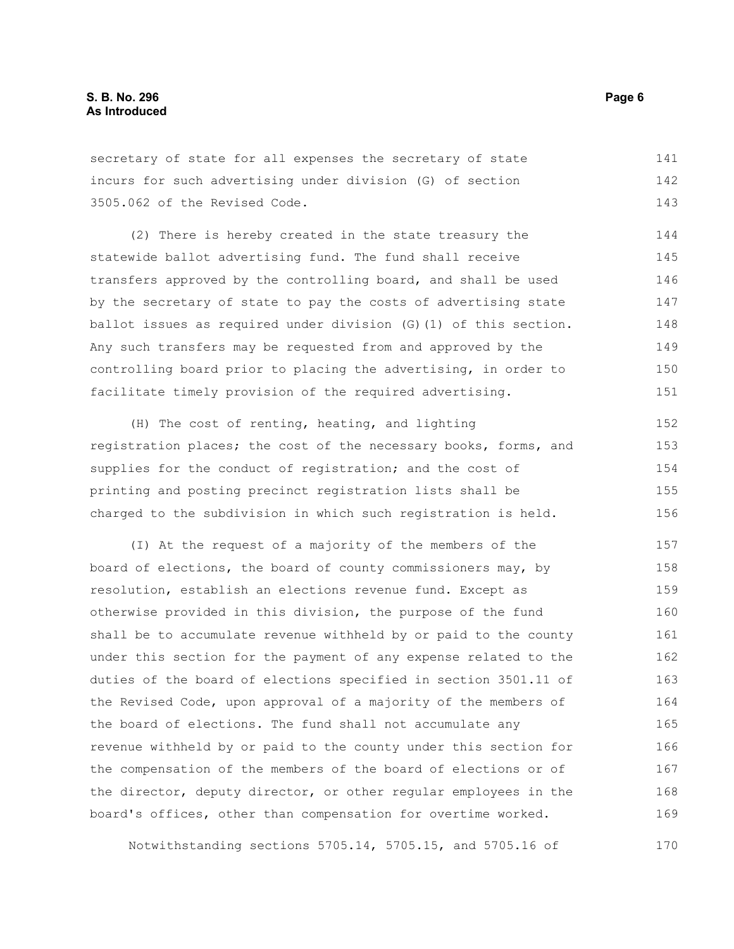secretary of state for all expenses the secretary of state incurs for such advertising under division (G) of section 3505.062 of the Revised Code. 141 142 143

(2) There is hereby created in the state treasury the statewide ballot advertising fund. The fund shall receive transfers approved by the controlling board, and shall be used by the secretary of state to pay the costs of advertising state ballot issues as required under division (G)(1) of this section. Any such transfers may be requested from and approved by the controlling board prior to placing the advertising, in order to facilitate timely provision of the required advertising. 144 145 146 147 148 149 150 151

(H) The cost of renting, heating, and lighting registration places; the cost of the necessary books, forms, and supplies for the conduct of registration; and the cost of printing and posting precinct registration lists shall be charged to the subdivision in which such registration is held. 152 153 154 155 156

(I) At the request of a majority of the members of the board of elections, the board of county commissioners may, by resolution, establish an elections revenue fund. Except as otherwise provided in this division, the purpose of the fund shall be to accumulate revenue withheld by or paid to the county under this section for the payment of any expense related to the duties of the board of elections specified in section 3501.11 of the Revised Code, upon approval of a majority of the members of the board of elections. The fund shall not accumulate any revenue withheld by or paid to the county under this section for the compensation of the members of the board of elections or of the director, deputy director, or other regular employees in the board's offices, other than compensation for overtime worked. 157 158 159 160 161 162 163 164 165 166 167 168 169

Notwithstanding sections 5705.14, 5705.15, and 5705.16 of 170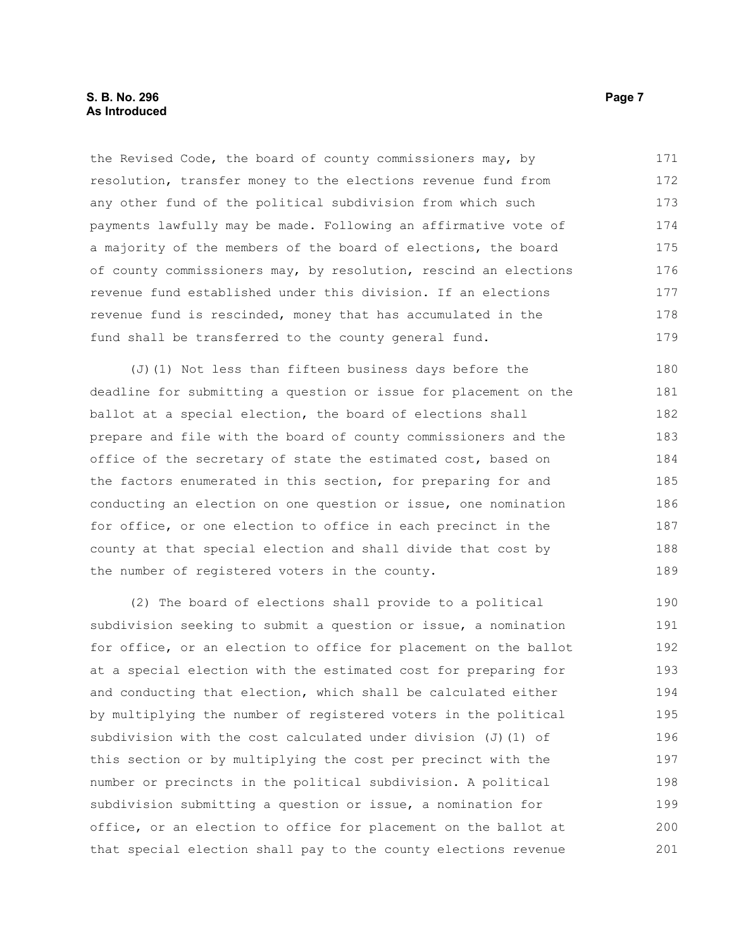the Revised Code, the board of county commissioners may, by resolution, transfer money to the elections revenue fund from any other fund of the political subdivision from which such payments lawfully may be made. Following an affirmative vote of a majority of the members of the board of elections, the board of county commissioners may, by resolution, rescind an elections revenue fund established under this division. If an elections revenue fund is rescinded, money that has accumulated in the fund shall be transferred to the county general fund. 171 172 173 174 175 176 177 178 179

(J)(1) Not less than fifteen business days before the deadline for submitting a question or issue for placement on the ballot at a special election, the board of elections shall prepare and file with the board of county commissioners and the office of the secretary of state the estimated cost, based on the factors enumerated in this section, for preparing for and conducting an election on one question or issue, one nomination for office, or one election to office in each precinct in the county at that special election and shall divide that cost by the number of registered voters in the county.

(2) The board of elections shall provide to a political subdivision seeking to submit a question or issue, a nomination for office, or an election to office for placement on the ballot at a special election with the estimated cost for preparing for and conducting that election, which shall be calculated either by multiplying the number of registered voters in the political subdivision with the cost calculated under division  $(J)$  (1) of this section or by multiplying the cost per precinct with the number or precincts in the political subdivision. A political subdivision submitting a question or issue, a nomination for office, or an election to office for placement on the ballot at that special election shall pay to the county elections revenue 190 191 192 193 194 195 196 197 198 199 200 201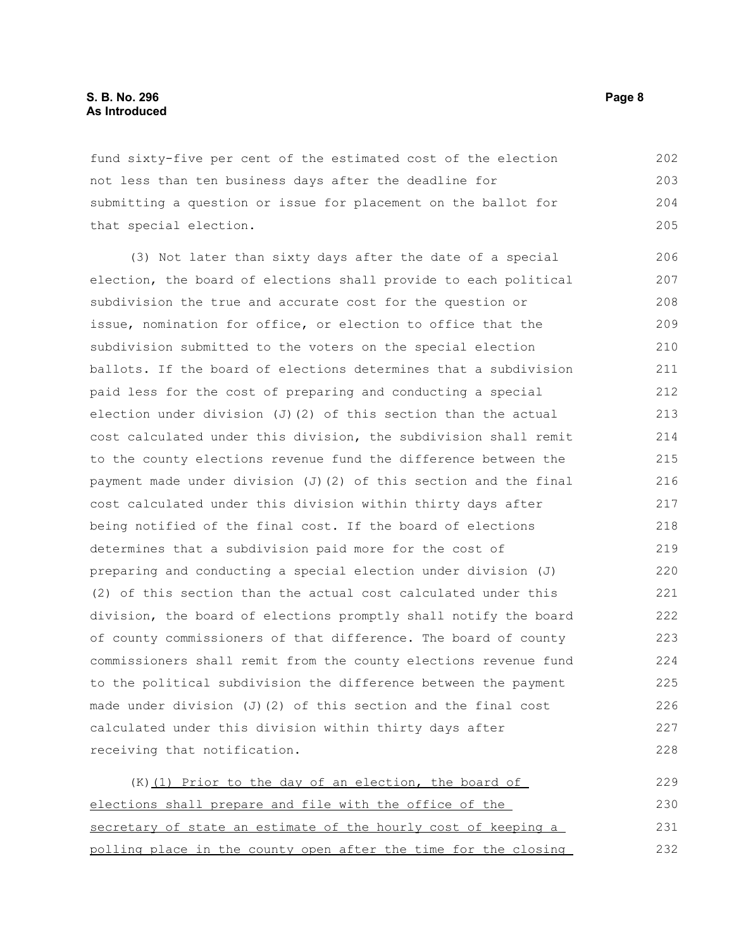### **S. B. No. 296 Page 8 As Introduced**

fund sixty-five per cent of the estimated cost of the election not less than ten business days after the deadline for submitting a question or issue for placement on the ballot for that special election. 202 203 204 205

(3) Not later than sixty days after the date of a special election, the board of elections shall provide to each political subdivision the true and accurate cost for the question or issue, nomination for office, or election to office that the subdivision submitted to the voters on the special election ballots. If the board of elections determines that a subdivision paid less for the cost of preparing and conducting a special election under division (J)(2) of this section than the actual cost calculated under this division, the subdivision shall remit to the county elections revenue fund the difference between the payment made under division (J)(2) of this section and the final cost calculated under this division within thirty days after being notified of the final cost. If the board of elections determines that a subdivision paid more for the cost of preparing and conducting a special election under division (J) (2) of this section than the actual cost calculated under this division, the board of elections promptly shall notify the board of county commissioners of that difference. The board of county commissioners shall remit from the county elections revenue fund to the political subdivision the difference between the payment made under division (J)(2) of this section and the final cost calculated under this division within thirty days after receiving that notification. 206 207 208 209 210 211 212 213 214 215 216 217 218 219 220 221 222 223 224 225 226 227 228

(K) (1) Prior to the day of an election, the board of elections shall prepare and file with the office of the secretary of state an estimate of the hourly cost of keeping a polling place in the county open after the time for the closing 229 230 231 232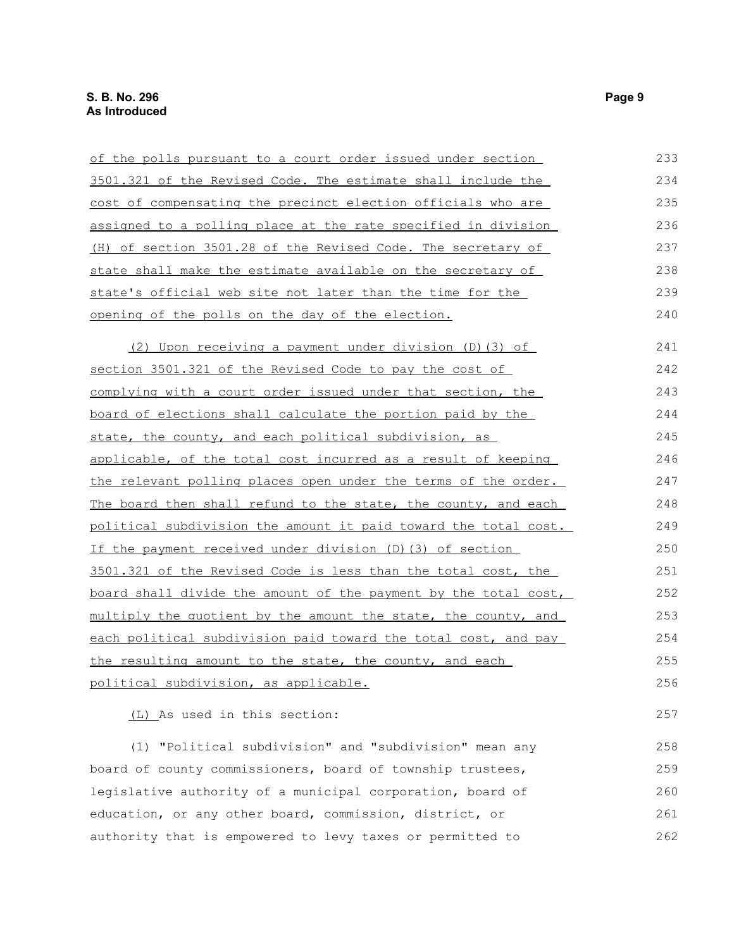| <u>of the polls pursuant to a court order issued under section</u>    | 233 |
|-----------------------------------------------------------------------|-----|
| 3501.321 of the Revised Code. The estimate shall include the          | 234 |
| cost of compensating the precinct election officials who are          | 235 |
| assigned to a polling place at the rate specified in division         | 236 |
| <u>(H) of section 3501.28 of the Revised Code. The secretary of</u>   | 237 |
| state shall make the estimate available on the secretary of           | 238 |
| state's official web site not later than the time for the             | 239 |
| opening of the polls on the day of the election.                      | 240 |
| (2) Upon receiving a payment under division (D) (3) of                | 241 |
| section 3501.321 of the Revised Code to pay the cost of               | 242 |
| complying with a court order issued under that section, the           | 243 |
| board of elections shall calculate the portion paid by the            | 244 |
| state, the county, and each political subdivision, as                 | 245 |
| applicable, of the total cost incurred as a result of keeping         | 246 |
| <u>the relevant polling places open under the terms of the order.</u> | 247 |
| The board then shall refund to the state, the county, and each        | 248 |
| political subdivision the amount it paid toward the total cost.       | 249 |
| If the payment received under division (D) (3) of section             | 250 |
| 3501.321 of the Revised Code is less than the total cost, the         | 251 |
| board shall divide the amount of the payment by the total cost,       | 252 |
| multiply the quotient by the amount the state, the county, and        | 253 |
| each political subdivision paid toward the total cost, and pay        | 254 |
| the resulting amount to the state, the county, and each               | 255 |
| political subdivision, as applicable.                                 | 256 |
| (L) As used in this section:                                          | 257 |
| (1) "Political subdivision" and "subdivision" mean any                | 258 |
| board of county commissioners, board of township trustees,            | 259 |
| legislative authority of a municipal corporation, board of            | 260 |
| education, or any other board, commission, district, or               | 261 |

authority that is empowered to levy taxes or permitted to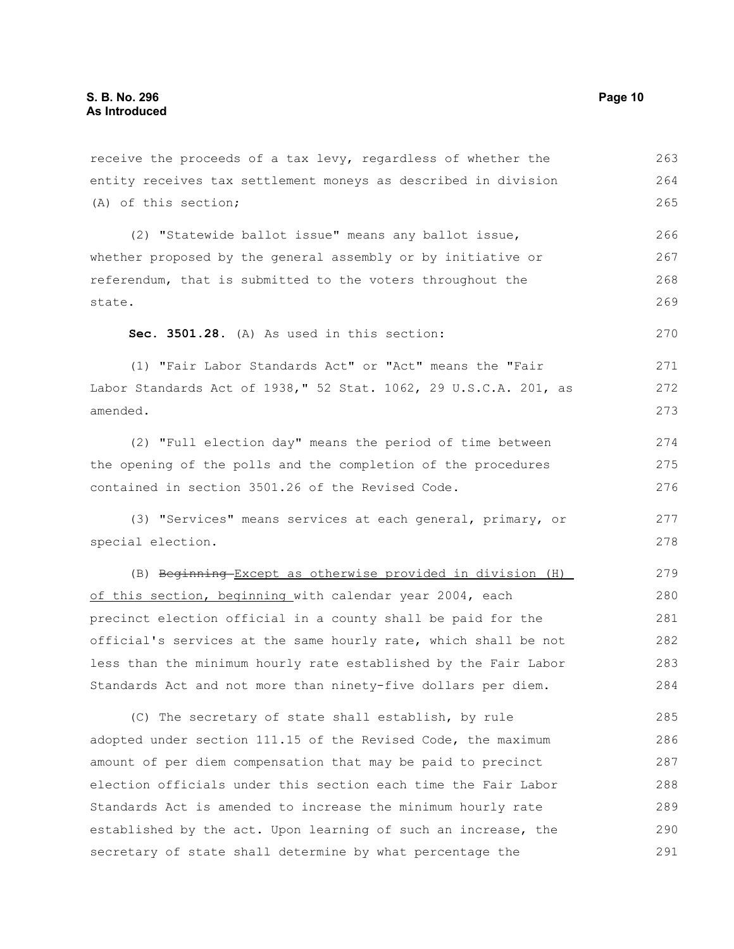(A) of this section; (2) "Statewide ballot issue" means any ballot issue, whether proposed by the general assembly or by initiative or referendum, that is submitted to the voters throughout the state. **Sec. 3501.28.** (A) As used in this section: (1) "Fair Labor Standards Act" or "Act" means the "Fair Labor Standards Act of 1938," 52 Stat. 1062, 29 U.S.C.A. 201, as amended. (2) "Full election day" means the period of time between the opening of the polls and the completion of the procedures contained in section 3501.26 of the Revised Code. (3) "Services" means services at each general, primary, or special election. (B) Beginning Except as otherwise provided in division (H) of this section, beginning with calendar year 2004, each precinct election official in a county shall be paid for the official's services at the same hourly rate, which shall be not less than the minimum hourly rate established by the Fair Labor Standards Act and not more than ninety-five dollars per diem. (C) The secretary of state shall establish, by rule adopted under section 111.15 of the Revised Code, the maximum amount of per diem compensation that may be paid to precinct election officials under this section each time the Fair Labor Standards Act is amended to increase the minimum hourly rate established by the act. Upon learning of such an increase, the 265 266 267 268 269 270 271 272 273 274 275 276 277 278 279 280 281 282 283 284 285 286 287 288 289 290

secretary of state shall determine by what percentage the

receive the proceeds of a tax levy, regardless of whether the entity receives tax settlement moneys as described in division

263 264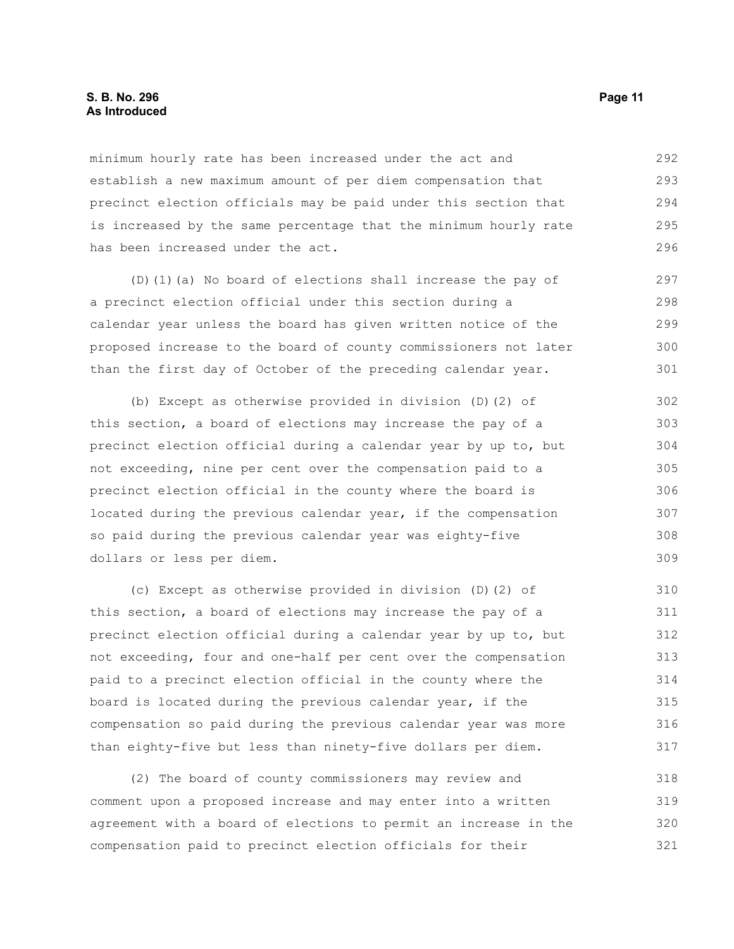### **S. B. No. 296 Page 11 As Introduced**

minimum hourly rate has been increased under the act and establish a new maximum amount of per diem compensation that precinct election officials may be paid under this section that is increased by the same percentage that the minimum hourly rate has been increased under the act. 292 293 294 295 296

(D)(1)(a) No board of elections shall increase the pay of a precinct election official under this section during a calendar year unless the board has given written notice of the proposed increase to the board of county commissioners not later than the first day of October of the preceding calendar year.

(b) Except as otherwise provided in division (D)(2) of this section, a board of elections may increase the pay of a precinct election official during a calendar year by up to, but not exceeding, nine per cent over the compensation paid to a precinct election official in the county where the board is located during the previous calendar year, if the compensation so paid during the previous calendar year was eighty-five dollars or less per diem. 302 303 304 305 306 307 308 309

(c) Except as otherwise provided in division (D)(2) of this section, a board of elections may increase the pay of a precinct election official during a calendar year by up to, but not exceeding, four and one-half per cent over the compensation paid to a precinct election official in the county where the board is located during the previous calendar year, if the compensation so paid during the previous calendar year was more than eighty-five but less than ninety-five dollars per diem. 310 311 312 313 314 315 316 317

(2) The board of county commissioners may review and comment upon a proposed increase and may enter into a written agreement with a board of elections to permit an increase in the compensation paid to precinct election officials for their 318 319 320 321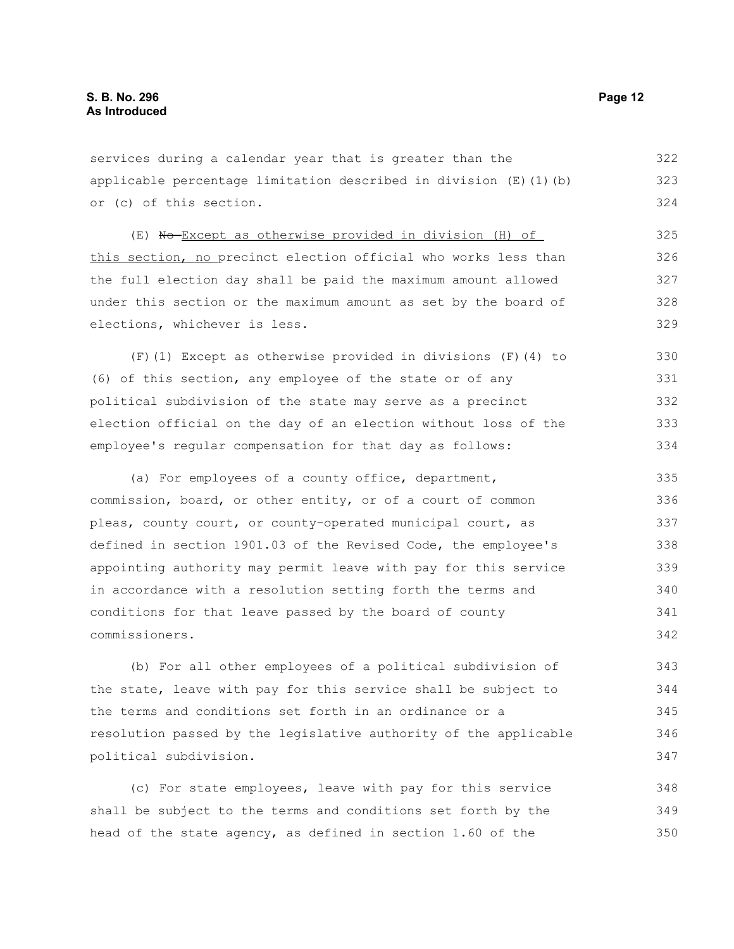services during a calendar year that is greater than the applicable percentage limitation described in division  $(E)$  (1)(b) or (c) of this section. 322 323 324

(E) No Except as otherwise provided in division (H) of this section, no precinct election official who works less than the full election day shall be paid the maximum amount allowed under this section or the maximum amount as set by the board of elections, whichever is less. 325 326 328 329

(F)(1) Except as otherwise provided in divisions (F)(4) to (6) of this section, any employee of the state or of any political subdivision of the state may serve as a precinct election official on the day of an election without loss of the employee's regular compensation for that day as follows: 330 331 332 333 334

(a) For employees of a county office, department, commission, board, or other entity, or of a court of common pleas, county court, or county-operated municipal court, as defined in section 1901.03 of the Revised Code, the employee's appointing authority may permit leave with pay for this service in accordance with a resolution setting forth the terms and conditions for that leave passed by the board of county commissioners. 335 336 337 338 339 340 341 342

(b) For all other employees of a political subdivision of the state, leave with pay for this service shall be subject to the terms and conditions set forth in an ordinance or a resolution passed by the legislative authority of the applicable political subdivision. 343 344 345 346 347

(c) For state employees, leave with pay for this service shall be subject to the terms and conditions set forth by the head of the state agency, as defined in section 1.60 of the 348 349 350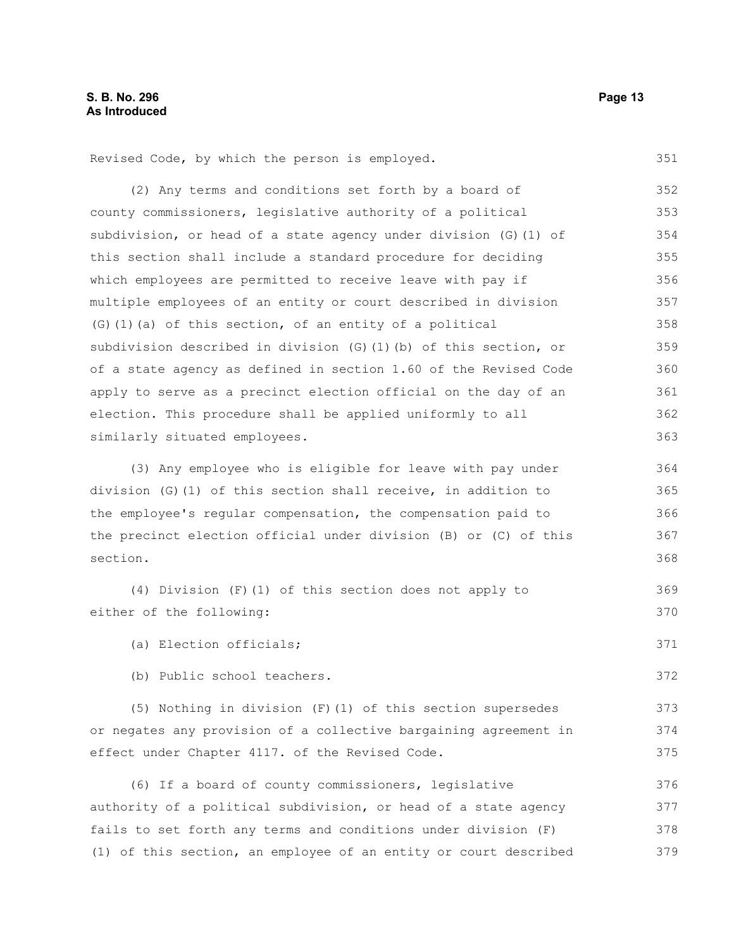Revised Code, by which the person is employed. (2) Any terms and conditions set forth by a board of county commissioners, legislative authority of a political subdivision, or head of a state agency under division (G)(1) of this section shall include a standard procedure for deciding which employees are permitted to receive leave with pay if multiple employees of an entity or court described in division (G)(1)(a) of this section, of an entity of a political subdivision described in division (G)(1)(b) of this section, or of a state agency as defined in section 1.60 of the Revised Code apply to serve as a precinct election official on the day of an election. This procedure shall be applied uniformly to all similarly situated employees. (3) Any employee who is eligible for leave with pay under division (G)(1) of this section shall receive, in addition to the employee's regular compensation, the compensation paid to the precinct election official under division (B) or (C) of this section. (4) Division (F)(1) of this section does not apply to either of the following: (a) Election officials; (b) Public school teachers. (5) Nothing in division (F)(1) of this section supersedes or negates any provision of a collective bargaining agreement in effect under Chapter 4117. of the Revised Code. (6) If a board of county commissioners, legislative authority of a political subdivision, or head of a state agency fails to set forth any terms and conditions under division (F) 351 352 353 354 355 356 357 358 359 360 361 362 363 364 365 366 367 368 369 370 371 372 373 374 375 376 377 378

(1) of this section, an employee of an entity or court described 379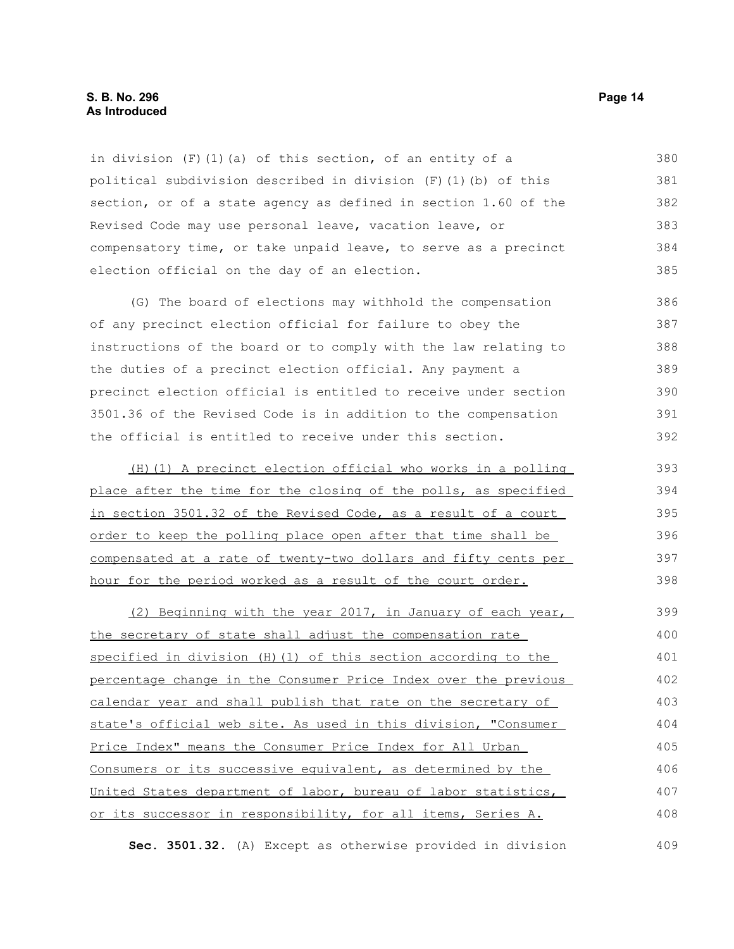### **S. B. No. 296 Page 14 As Introduced**

in division (F)(1)(a) of this section, of an entity of a political subdivision described in division (F)(1)(b) of this section, or of a state agency as defined in section 1.60 of the Revised Code may use personal leave, vacation leave, or compensatory time, or take unpaid leave, to serve as a precinct election official on the day of an election. 380 381 382 383 384 385

(G) The board of elections may withhold the compensation of any precinct election official for failure to obey the instructions of the board or to comply with the law relating to the duties of a precinct election official. Any payment a precinct election official is entitled to receive under section 3501.36 of the Revised Code is in addition to the compensation the official is entitled to receive under this section. 386 387 388 389 390 391 392

 (H)(1) A precinct election official who works in a polling place after the time for the closing of the polls, as specified in section 3501.32 of the Revised Code, as a result of a court order to keep the polling place open after that time shall be compensated at a rate of twenty-two dollars and fifty cents per hour for the period worked as a result of the court order. 393 394 395 396 397 398

(2) Beginning with the year 2017, in January of each year, the secretary of state shall adjust the compensation rate specified in division (H)(1) of this section according to the percentage change in the Consumer Price Index over the previous calendar year and shall publish that rate on the secretary of state's official web site. As used in this division, "Consumer Price Index" means the Consumer Price Index for All Urban Consumers or its successive equivalent, as determined by the United States department of labor, bureau of labor statistics, or its successor in responsibility, for all items, Series A. 399 400 401 402 403 404 405 406 407 408

**Sec. 3501.32.** (A) Except as otherwise provided in division 409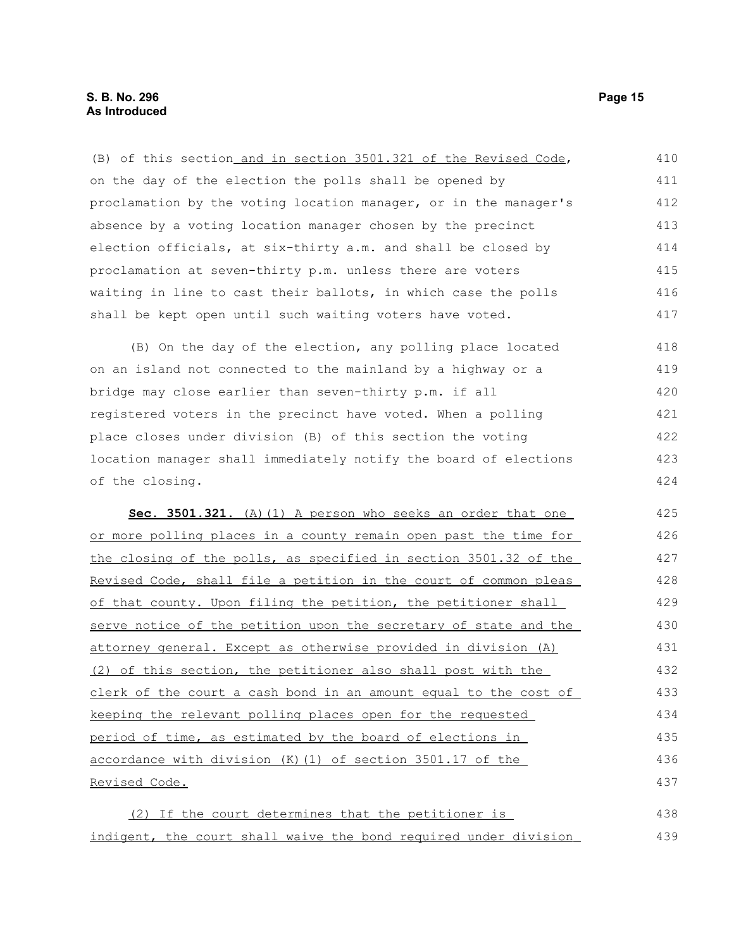### **S. B. No. 296 Page 15 As Introduced**

| (B) of this section_and in section 3501.321 of the Revised Code, | 410 |
|------------------------------------------------------------------|-----|
| on the day of the election the polls shall be opened by          | 411 |
| proclamation by the voting location manager, or in the manager's | 412 |
| absence by a voting location manager chosen by the precinct      | 413 |
| election officials, at six-thirty a.m. and shall be closed by    | 414 |
| proclamation at seven-thirty p.m. unless there are voters        | 415 |
| waiting in line to cast their ballots, in which case the polls   | 416 |
| shall be kept open until such waiting voters have voted.         | 417 |
| (B) On the day of the election, any polling place located        | 418 |
| on an island not connected to the mainland by a highway or a     | 419 |
| bridge may close earlier than seven-thirty p.m. if all           | 420 |
| registered voters in the precinct have voted. When a polling     | 421 |
| place closes under division (B) of this section the voting       | 422 |
| location manager shall immediately notify the board of elections | 423 |
| of the closing.                                                  | 424 |
| Sec. 3501.321. (A) (1) A person who seeks an order that one      | 425 |
| or more polling places in a county remain open past the time for | 426 |
| the closing of the polls, as specified in section 3501.32 of the | 427 |
| Revised Code, shall file a petition in the court of common pleas | 428 |
| of that county. Upon filing the petition, the petitioner shall   | 429 |
|                                                                  | 430 |
| serve notice of the petition upon the secretary of state and the |     |
| attorney general. Except as otherwise provided in division (A)   | 431 |
| (2) of this section, the petitioner also shall post with the     | 432 |
| clerk of the court a cash bond in an amount equal to the cost of | 433 |
| keeping the relevant polling places open for the requested       | 434 |
| period of time, as estimated by the board of elections in        | 435 |
| accordance with division (K) (1) of section 3501.17 of the       | 436 |
| Revised Code.                                                    | 437 |
| (2) If the court determines that the petitioner is               | 438 |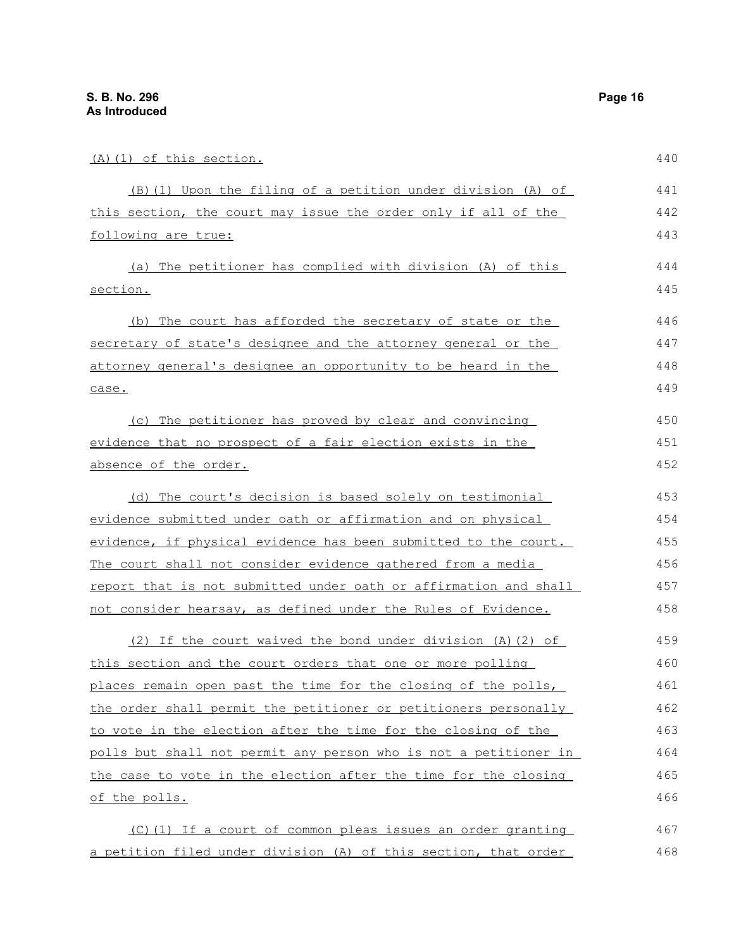| (A) (1) of this section.                                         | 440 |
|------------------------------------------------------------------|-----|
| (B) (1) Upon the filing of a petition under division (A) of      | 441 |
| this section, the court may issue the order only if all of the   | 442 |
| following are true:                                              | 443 |
| (a) The petitioner has complied with division (A) of this        | 444 |
| section.                                                         | 445 |
| (b) The court has afforded the secretary of state or the         | 446 |
| secretary of state's designee and the attorney general or the    | 447 |
| attorney general's designee an opportunity to be heard in the    | 448 |
| case.                                                            | 449 |
| (c) The petitioner has proved by clear and convincing            | 450 |
| evidence that no prospect of a fair election exists in the       | 451 |
| absence of the order.                                            | 452 |
| (d) The court's decision is based solely on testimonial          | 453 |
| evidence submitted under oath or affirmation and on physical     | 454 |
| evidence, if physical evidence has been submitted to the court.  | 455 |
| The court shall not consider evidence gathered from a media      | 456 |
| report that is not submitted under oath or affirmation and shall | 457 |
| not consider hearsay, as defined under the Rules of Evidence.    | 458 |
| $(2)$ If the court waived the bond under division $(A)$ $(2)$ of | 459 |
| this section and the court orders that one or more polling       | 460 |
| places remain open past the time for the closing of the polls,   | 461 |
| the order shall permit the petitioner or petitioners personally  | 462 |
| to vote in the election after the time for the closing of the    | 463 |
| polls but shall not permit any person who is not a petitioner in | 464 |
| the case to vote in the election after the time for the closing  | 465 |
| of the polls.                                                    | 466 |
| $(C)$ (1) If a court of common pleas issues an order granting    | 467 |

(C)(1) If a court of common pleas issues an order granting a petition filed under division (A) of this section, that order  $6^{\circ}$ 468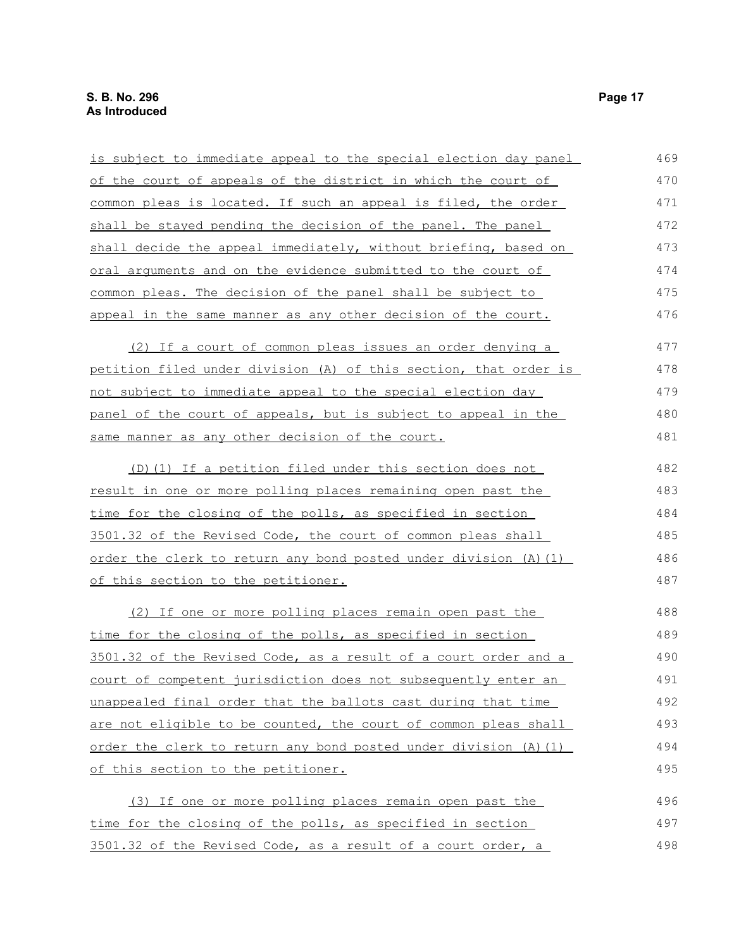| is subject to immediate appeal to the special election day panel  | 469 |
|-------------------------------------------------------------------|-----|
| of the court of appeals of the district in which the court of     | 470 |
| common pleas is located. If such an appeal is filed, the order    | 471 |
| shall be stayed pending the decision of the panel. The panel      | 472 |
| shall decide the appeal immediately, without briefing, based on   | 473 |
| oral arguments and on the evidence submitted to the court of      | 474 |
| common pleas. The decision of the panel shall be subject to       | 475 |
| appeal in the same manner as any other decision of the court.     | 476 |
| (2) If a court of common pleas issues an order denying a          | 477 |
| petition filed under division (A) of this section, that order is  | 478 |
| not subject to immediate appeal to the special election day       | 479 |
| panel of the court of appeals, but is subject to appeal in the    | 480 |
| same manner as any other decision of the court.                   | 481 |
| (D) (1) If a petition filed under this section does not           | 482 |
| result in one or more polling places remaining open past the      | 483 |
| <u>time for the closing of the polls, as specified in section</u> | 484 |
| 3501.32 of the Revised Code, the court of common pleas shall      | 485 |
| order the clerk to return any bond posted under division (A) (1)  | 486 |
| of this section to the petitioner.                                | 487 |
| (2) If one or more polling places remain open past the            | 488 |
| time for the closing of the polls, as specified in section        | 489 |
| 3501.32 of the Revised Code, as a result of a court order and a   | 490 |
| court of competent jurisdiction does not subsequently enter an    | 491 |
| unappealed final order that the ballots cast during that time     | 492 |
| are not eligible to be counted, the court of common pleas shall   | 493 |
| order the clerk to return any bond posted under division (A) (1)  | 494 |
| of this section to the petitioner.                                | 495 |
| (3) If one or more polling places remain open past the            | 496 |
| time for the closing of the polls, as specified in section        | 497 |
| 3501.32 of the Revised Code, as a result of a court order, a      | 498 |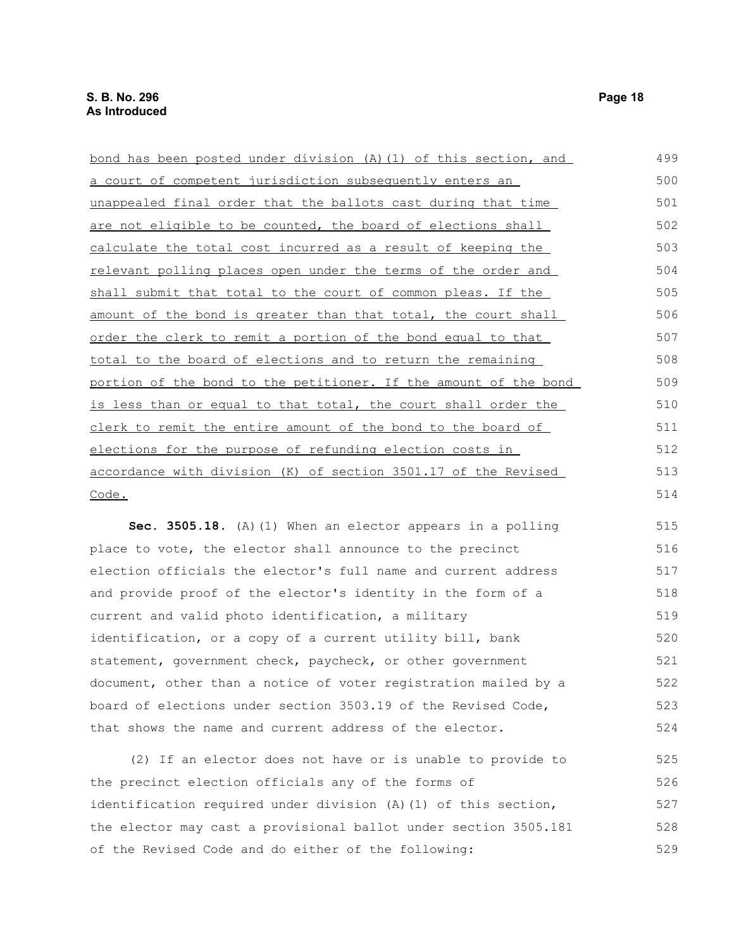| bond has been posted under division (A) (1) of this section, and | 499 |
|------------------------------------------------------------------|-----|
| a court of competent jurisdiction subsequently enters an         | 500 |
| unappealed final order that the ballots cast during that time    | 501 |
| are not eligible to be counted, the board of elections shall     | 502 |
| calculate the total cost incurred as a result of keeping the     | 503 |
| relevant polling places open under the terms of the order and    | 504 |
| shall submit that total to the court of common pleas. If the     | 505 |
| amount of the bond is greater than that total, the court shall   | 506 |
| order the clerk to remit a portion of the bond equal to that     | 507 |
| total to the board of elections and to return the remaining      | 508 |
| portion of the bond to the petitioner. If the amount of the bond | 509 |
| is less than or equal to that total, the court shall order the   | 510 |
| clerk to remit the entire amount of the bond to the board of     | 511 |
| elections for the purpose of refunding election costs in         | 512 |
| accordance with division (K) of section 3501.17 of the Revised   | 513 |
| Code.                                                            | 514 |
| Sec. 3505.18. (A) (1) When an elector appears in a polling       | 515 |

place to vote, the elector shall announce to the precinct election officials the elector's full name and current address and provide proof of the elector's identity in the form of a current and valid photo identification, a military identification, or a copy of a current utility bill, bank statement, government check, paycheck, or other government document, other than a notice of voter registration mailed by a board of elections under section 3503.19 of the Revised Code, that shows the name and current address of the elector. 516 517 518 519 520 521 522 523 524

(2) If an elector does not have or is unable to provide to the precinct election officials any of the forms of identification required under division (A)(1) of this section, the elector may cast a provisional ballot under section 3505.181 of the Revised Code and do either of the following: 525 526 527 528 529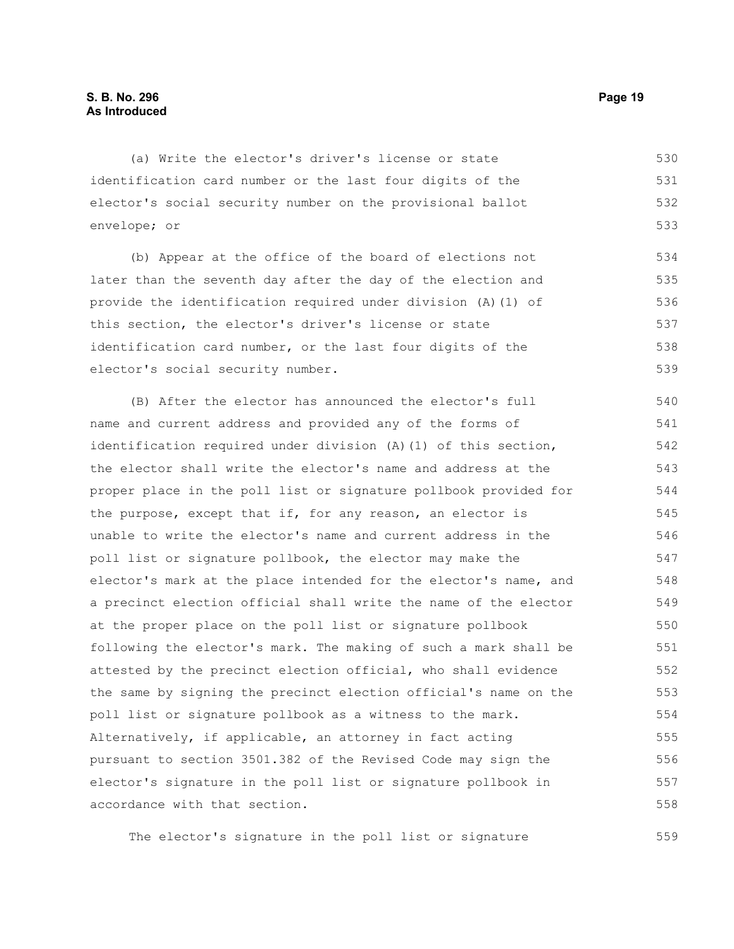(a) Write the elector's driver's license or state identification card number or the last four digits of the elector's social security number on the provisional ballot envelope; or 530 531 532 533

(b) Appear at the office of the board of elections not later than the seventh day after the day of the election and provide the identification required under division (A)(1) of this section, the elector's driver's license or state identification card number, or the last four digits of the elector's social security number. 534 535 536 537 538 539

(B) After the elector has announced the elector's full name and current address and provided any of the forms of identification required under division (A)(1) of this section, the elector shall write the elector's name and address at the proper place in the poll list or signature pollbook provided for the purpose, except that if, for any reason, an elector is unable to write the elector's name and current address in the poll list or signature pollbook, the elector may make the elector's mark at the place intended for the elector's name, and a precinct election official shall write the name of the elector at the proper place on the poll list or signature pollbook following the elector's mark. The making of such a mark shall be attested by the precinct election official, who shall evidence the same by signing the precinct election official's name on the poll list or signature pollbook as a witness to the mark. Alternatively, if applicable, an attorney in fact acting pursuant to section 3501.382 of the Revised Code may sign the elector's signature in the poll list or signature pollbook in accordance with that section. 540 541 542 543 544 545 546 547 548 549 550 551 552 553 554 555 556 557 558

The elector's signature in the poll list or signature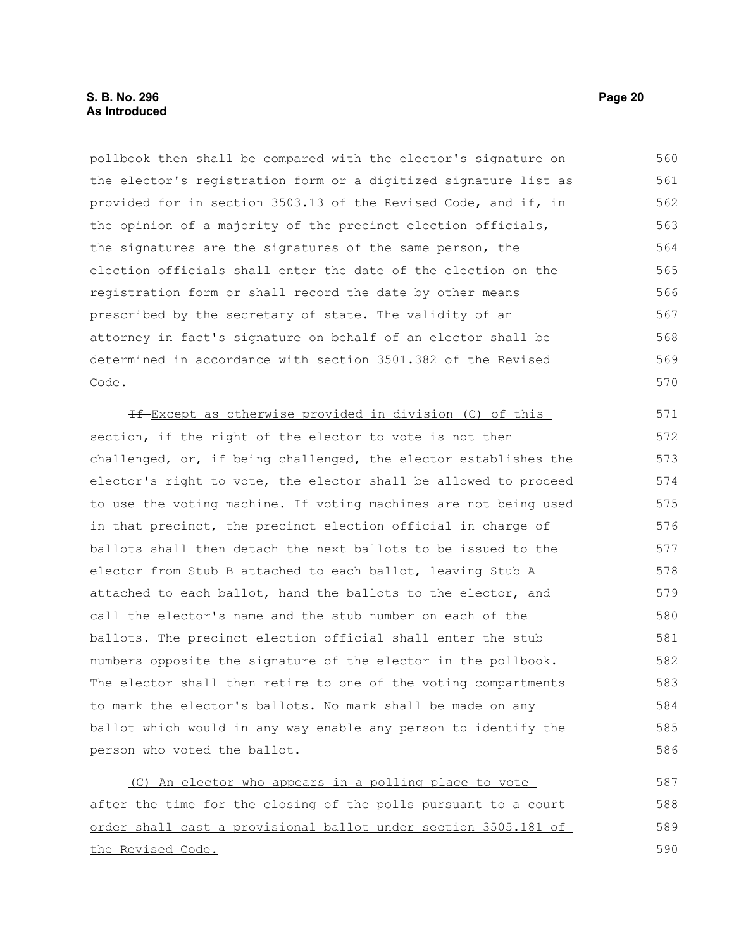### **S. B. No. 296 Page 20 As Introduced**

pollbook then shall be compared with the elector's signature on the elector's registration form or a digitized signature list as provided for in section 3503.13 of the Revised Code, and if, in the opinion of a majority of the precinct election officials, the signatures are the signatures of the same person, the election officials shall enter the date of the election on the registration form or shall record the date by other means prescribed by the secretary of state. The validity of an attorney in fact's signature on behalf of an elector shall be determined in accordance with section 3501.382 of the Revised Code. 560 561 562 563 564 565 566 567 568 569 570

If Except as otherwise provided in division (C) of this section, if the right of the elector to vote is not then challenged, or, if being challenged, the elector establishes the elector's right to vote, the elector shall be allowed to proceed to use the voting machine. If voting machines are not being used in that precinct, the precinct election official in charge of ballots shall then detach the next ballots to be issued to the elector from Stub B attached to each ballot, leaving Stub A attached to each ballot, hand the ballots to the elector, and call the elector's name and the stub number on each of the ballots. The precinct election official shall enter the stub numbers opposite the signature of the elector in the pollbook. The elector shall then retire to one of the voting compartments to mark the elector's ballots. No mark shall be made on any ballot which would in any way enable any person to identify the person who voted the ballot. 571 572 573 574 575 576 577 578 579 580 581 582 583 584 585 586

(C) An elector who appears in a polling place to vote after the time for the closing of the polls pursuant to a court order shall cast a provisional ballot under section 3505.181 of the Revised Code. 587 588 589 590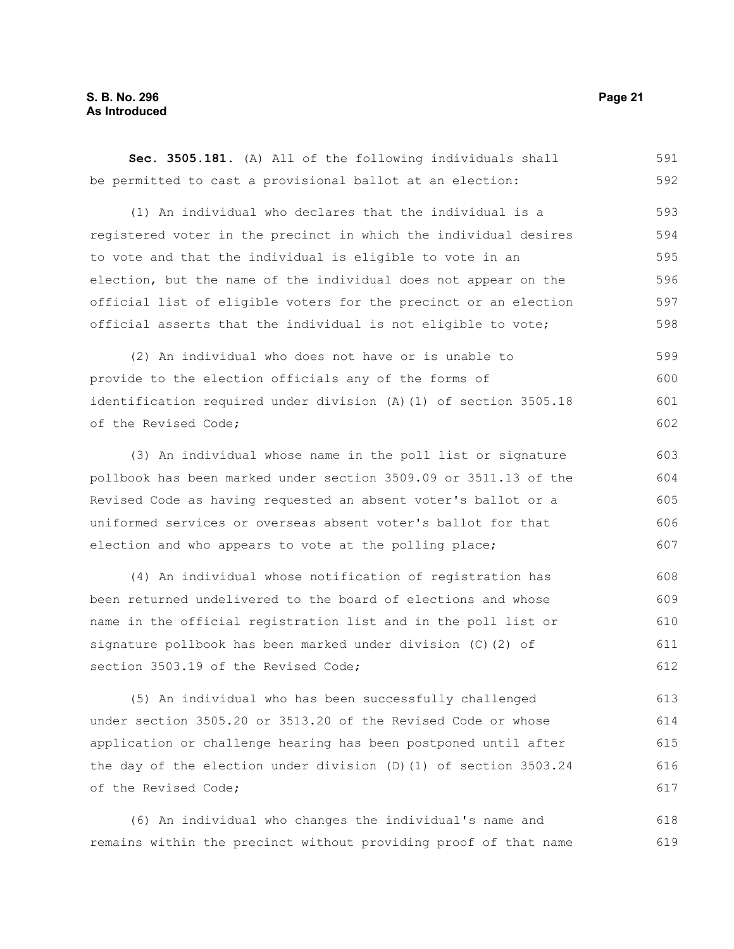**Sec. 3505.181.** (A) All of the following individuals shall be permitted to cast a provisional ballot at an election: (1) An individual who declares that the individual is a registered voter in the precinct in which the individual desires to vote and that the individual is eligible to vote in an election, but the name of the individual does not appear on the official list of eligible voters for the precinct or an election official asserts that the individual is not eligible to vote; (2) An individual who does not have or is unable to provide to the election officials any of the forms of identification required under division (A)(1) of section 3505.18 of the Revised Code; (3) An individual whose name in the poll list or signature pollbook has been marked under section 3509.09 or 3511.13 of the Revised Code as having requested an absent voter's ballot or a uniformed services or overseas absent voter's ballot for that election and who appears to vote at the polling place; (4) An individual whose notification of registration has 591 592 593 594 595 596 597 598 599 600 601 602 603 604 605 606 607 608

been returned undelivered to the board of elections and whose name in the official registration list and in the poll list or signature pollbook has been marked under division (C)(2) of section 3503.19 of the Revised Code; 609 610 611 612

(5) An individual who has been successfully challenged under section 3505.20 or 3513.20 of the Revised Code or whose application or challenge hearing has been postponed until after the day of the election under division (D)(1) of section 3503.24 of the Revised Code; 613 614 615 616 617

(6) An individual who changes the individual's name and remains within the precinct without providing proof of that name 618 619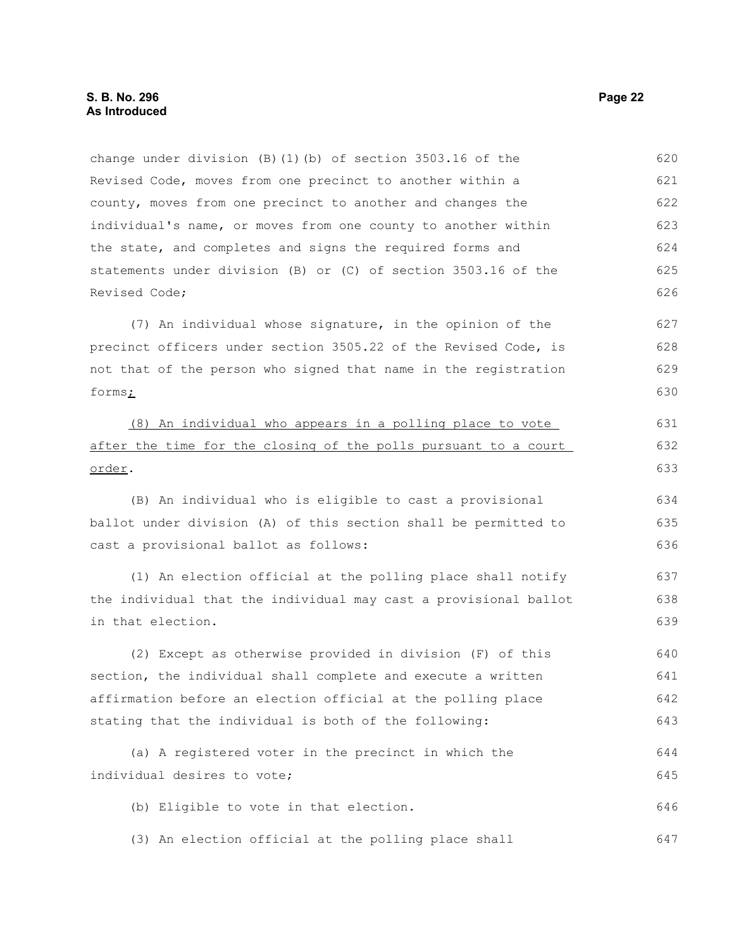change under division (B)(1)(b) of section 3503.16 of the Revised Code, moves from one precinct to another within a county, moves from one precinct to another and changes the individual's name, or moves from one county to another within the state, and completes and signs the required forms and statements under division (B) or (C) of section 3503.16 of the Revised Code; (7) An individual whose signature, in the opinion of the precinct officers under section 3505.22 of the Revised Code, is not that of the person who signed that name in the registration forms; (8) An individual who appears in a polling place to vote after the time for the closing of the polls pursuant to a court order. (B) An individual who is eligible to cast a provisional ballot under division (A) of this section shall be permitted to cast a provisional ballot as follows: (1) An election official at the polling place shall notify the individual that the individual may cast a provisional ballot in that election. (2) Except as otherwise provided in division (F) of this section, the individual shall complete and execute a written affirmation before an election official at the polling place stating that the individual is both of the following: (a) A registered voter in the precinct in which the individual desires to vote; (b) Eligible to vote in that election. (3) An election official at the polling place shall 621 622 623 624 625 626 627 628 629 630 631 632 633 634 635 636 637 638 639 640 641 642 643 644 645 646 647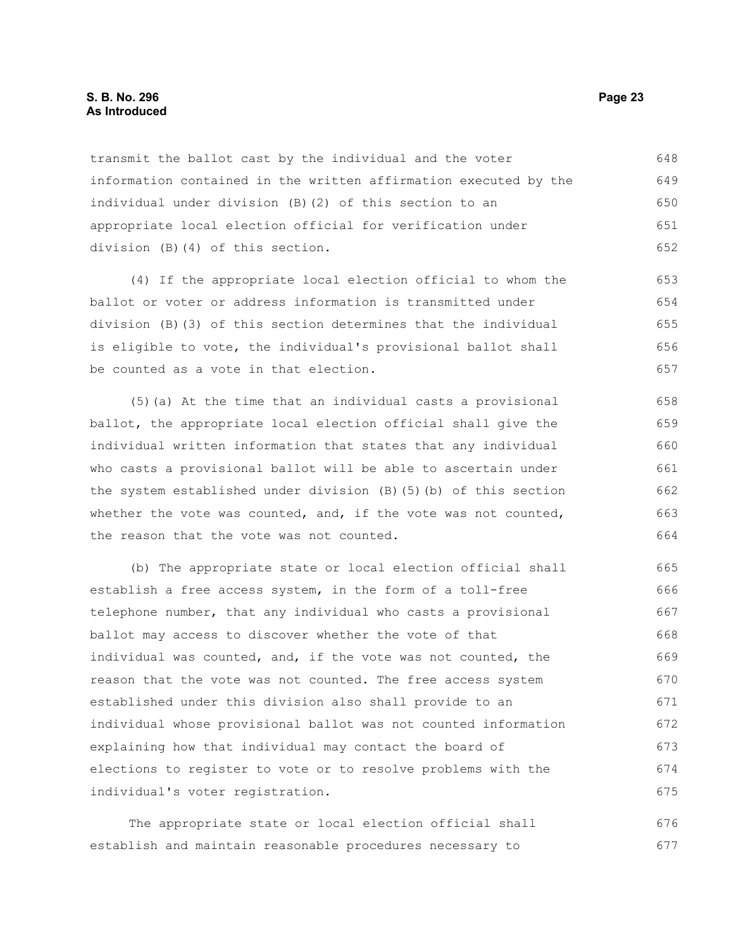### **S. B. No. 296 Page 23 As Introduced**

transmit the ballot cast by the individual and the voter information contained in the written affirmation executed by the individual under division (B)(2) of this section to an appropriate local election official for verification under division (B)(4) of this section. 648 649 650 651 652

(4) If the appropriate local election official to whom the ballot or voter or address information is transmitted under division (B)(3) of this section determines that the individual is eligible to vote, the individual's provisional ballot shall be counted as a vote in that election. 653 654 655 656 657

(5)(a) At the time that an individual casts a provisional ballot, the appropriate local election official shall give the individual written information that states that any individual who casts a provisional ballot will be able to ascertain under the system established under division (B)(5)(b) of this section whether the vote was counted, and, if the vote was not counted, the reason that the vote was not counted. 658 659 660 661 662 663 664

(b) The appropriate state or local election official shall establish a free access system, in the form of a toll-free telephone number, that any individual who casts a provisional ballot may access to discover whether the vote of that individual was counted, and, if the vote was not counted, the reason that the vote was not counted. The free access system established under this division also shall provide to an individual whose provisional ballot was not counted information explaining how that individual may contact the board of elections to register to vote or to resolve problems with the individual's voter registration. 665 666 667 668 669 670 671 672 673 674 675

The appropriate state or local election official shall establish and maintain reasonable procedures necessary to 676 677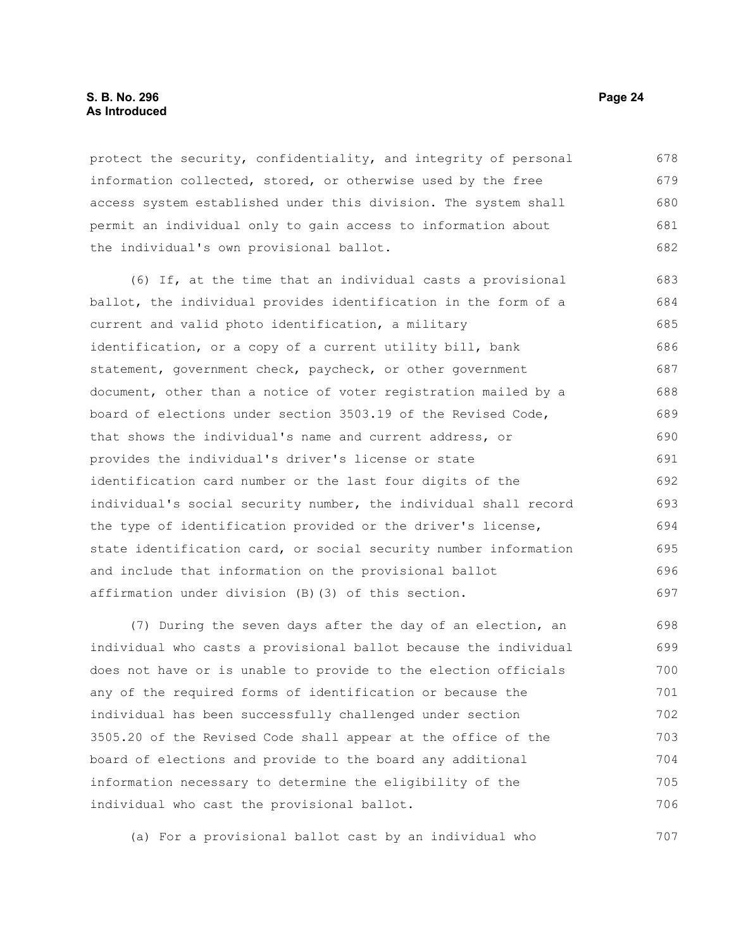### **S. B. No. 296 Page 24 As Introduced**

protect the security, confidentiality, and integrity of personal information collected, stored, or otherwise used by the free access system established under this division. The system shall permit an individual only to gain access to information about the individual's own provisional ballot. 678 679 680 681 682

(6) If, at the time that an individual casts a provisional ballot, the individual provides identification in the form of a current and valid photo identification, a military identification, or a copy of a current utility bill, bank statement, government check, paycheck, or other government document, other than a notice of voter registration mailed by a board of elections under section 3503.19 of the Revised Code, that shows the individual's name and current address, or provides the individual's driver's license or state identification card number or the last four digits of the individual's social security number, the individual shall record the type of identification provided or the driver's license, state identification card, or social security number information and include that information on the provisional ballot affirmation under division (B)(3) of this section. 683 684 685 686 687 688 689 690 691 692 693 694 695 696 697

(7) During the seven days after the day of an election, an individual who casts a provisional ballot because the individual does not have or is unable to provide to the election officials any of the required forms of identification or because the individual has been successfully challenged under section 3505.20 of the Revised Code shall appear at the office of the board of elections and provide to the board any additional information necessary to determine the eligibility of the individual who cast the provisional ballot. 698 699 700 701 702 703 704 705 706

(a) For a provisional ballot cast by an individual who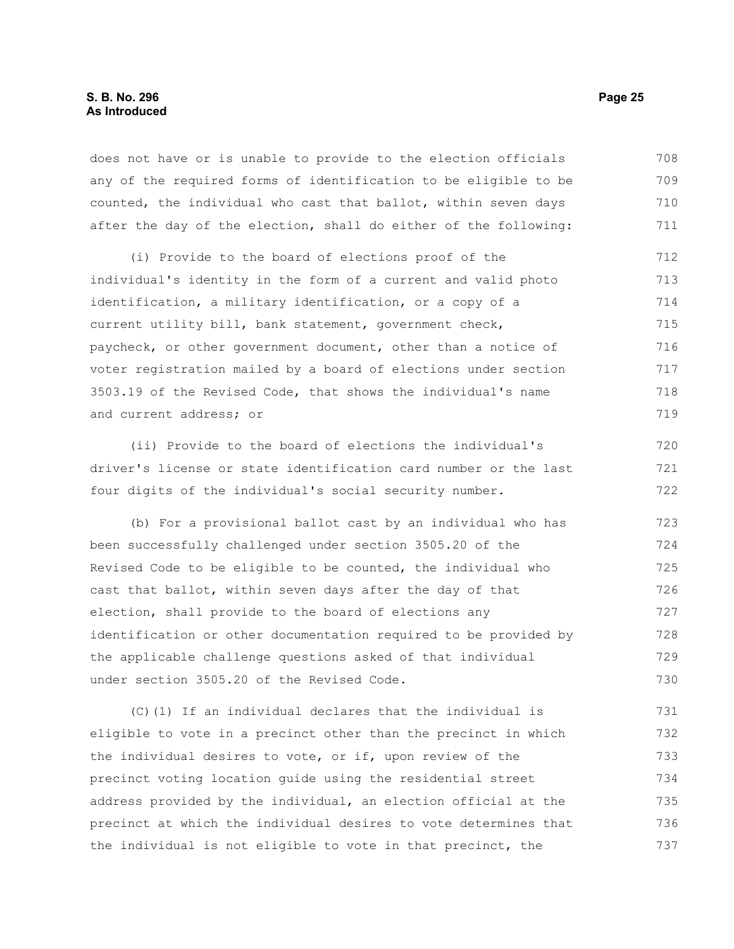### **S. B. No. 296 Page 25 As Introduced**

does not have or is unable to provide to the election officials any of the required forms of identification to be eligible to be counted, the individual who cast that ballot, within seven days after the day of the election, shall do either of the following: 708 709 710 711

(i) Provide to the board of elections proof of the individual's identity in the form of a current and valid photo identification, a military identification, or a copy of a current utility bill, bank statement, government check, paycheck, or other government document, other than a notice of voter registration mailed by a board of elections under section 3503.19 of the Revised Code, that shows the individual's name and current address; or 712 713 714 715 716 717 718 719

(ii) Provide to the board of elections the individual's driver's license or state identification card number or the last four digits of the individual's social security number. 720 721 722

(b) For a provisional ballot cast by an individual who has been successfully challenged under section 3505.20 of the Revised Code to be eligible to be counted, the individual who cast that ballot, within seven days after the day of that election, shall provide to the board of elections any identification or other documentation required to be provided by the applicable challenge questions asked of that individual under section 3505.20 of the Revised Code. 723 724 725 726 727 728 729 730

(C)(1) If an individual declares that the individual is eligible to vote in a precinct other than the precinct in which the individual desires to vote, or if, upon review of the precinct voting location guide using the residential street address provided by the individual, an election official at the precinct at which the individual desires to vote determines that the individual is not eligible to vote in that precinct, the 731 732 733 734 735 736 737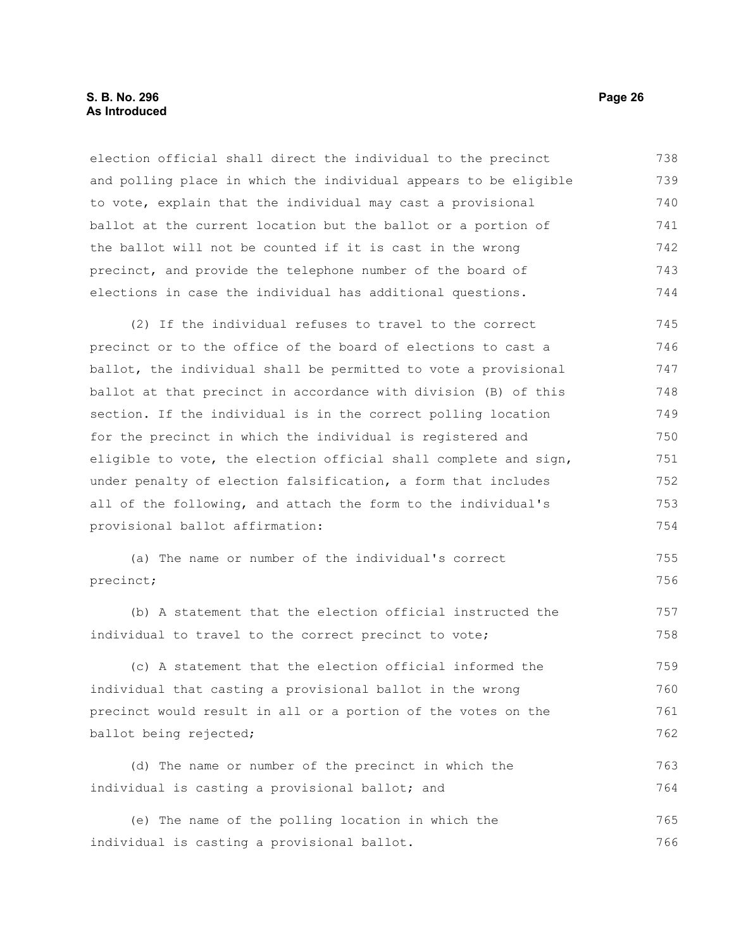### **S. B. No. 296 Page 26 As Introduced**

election official shall direct the individual to the precinct and polling place in which the individual appears to be eligible to vote, explain that the individual may cast a provisional ballot at the current location but the ballot or a portion of the ballot will not be counted if it is cast in the wrong precinct, and provide the telephone number of the board of elections in case the individual has additional questions. 738 739 740 741 742 743 744

(2) If the individual refuses to travel to the correct precinct or to the office of the board of elections to cast a ballot, the individual shall be permitted to vote a provisional ballot at that precinct in accordance with division (B) of this section. If the individual is in the correct polling location for the precinct in which the individual is registered and eligible to vote, the election official shall complete and sign, under penalty of election falsification, a form that includes all of the following, and attach the form to the individual's provisional ballot affirmation: 745 746 747 748 749 750 751 752 753 754

```
(a) The name or number of the individual's correct
precinct;
                                                                            755
                                                                            756
```
(b) A statement that the election official instructed the individual to travel to the correct precinct to vote; 757 758

(c) A statement that the election official informed the individual that casting a provisional ballot in the wrong precinct would result in all or a portion of the votes on the ballot being rejected; 759 760 761 762

(d) The name or number of the precinct in which the individual is casting a provisional ballot; and 763 764

(e) The name of the polling location in which the individual is casting a provisional ballot. 765 766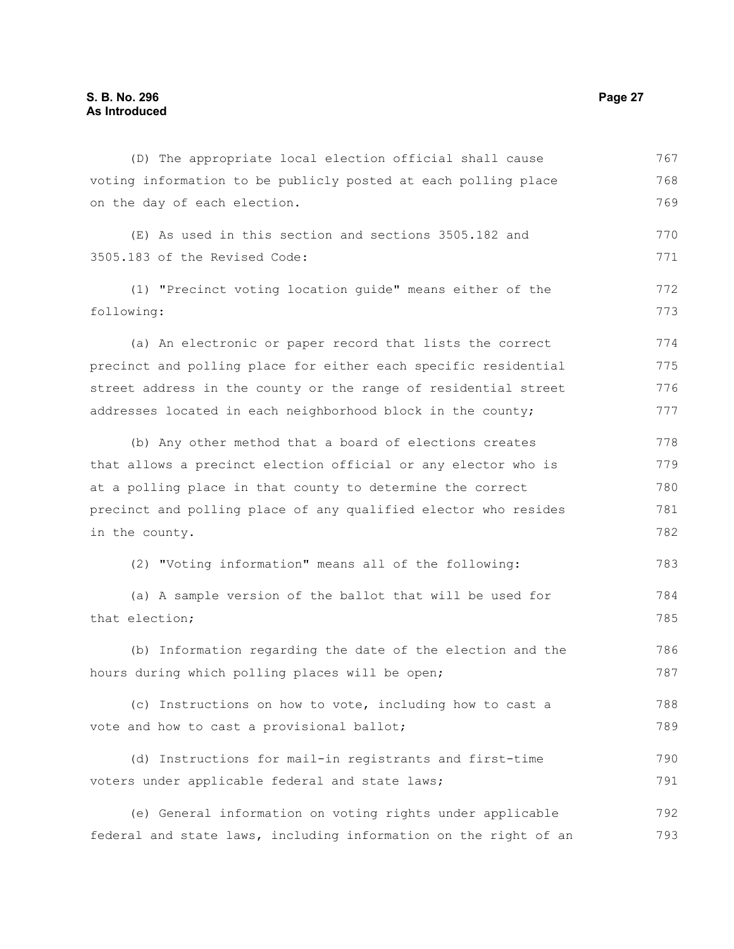(D) The appropriate local election official shall cause voting information to be publicly posted at each polling place on the day of each election. (E) As used in this section and sections 3505.182 and 3505.183 of the Revised Code: (1) "Precinct voting location guide" means either of the following: (a) An electronic or paper record that lists the correct precinct and polling place for either each specific residential street address in the county or the range of residential street addresses located in each neighborhood block in the county; (b) Any other method that a board of elections creates that allows a precinct election official or any elector who is at a polling place in that county to determine the correct precinct and polling place of any qualified elector who resides in the county. (2) "Voting information" means all of the following: (a) A sample version of the ballot that will be used for that election; (b) Information regarding the date of the election and the hours during which polling places will be open; (c) Instructions on how to vote, including how to cast a vote and how to cast a provisional ballot; (d) Instructions for mail-in registrants and first-time voters under applicable federal and state laws; (e) General information on voting rights under applicable federal and state laws, including information on the right of an 767 768 769 770 771 772 773 774 775 776 777 778 779 780 781 782 783 784 785 786 787 788 789 790 791 792 793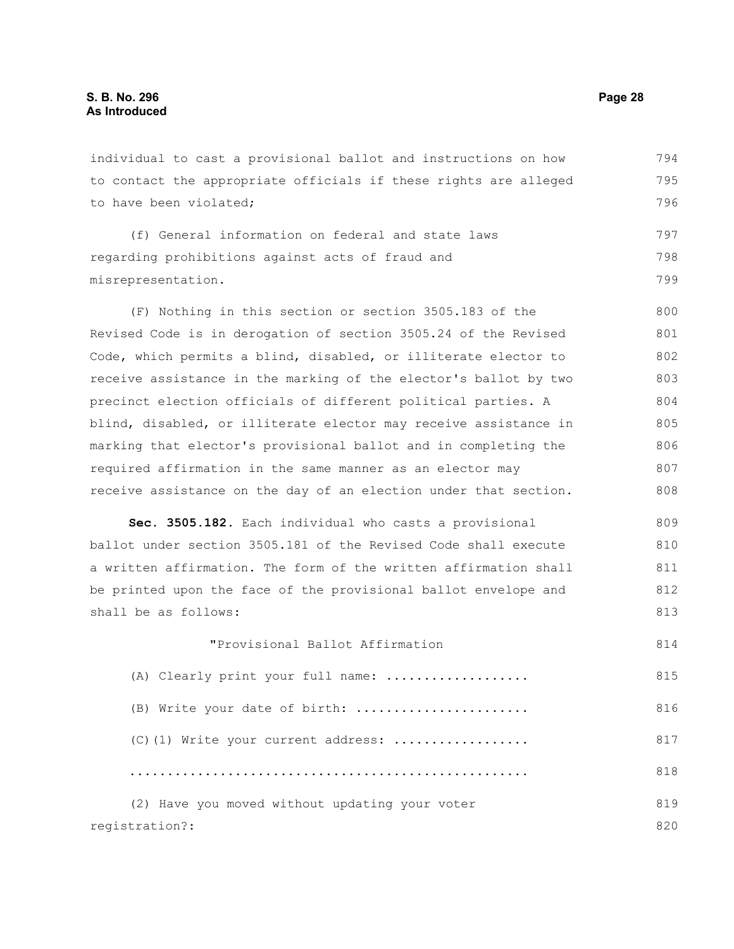individual to cast a provisional ballot and instructions on how to contact the appropriate officials if these rights are alleged to have been violated; 794 795 796

(f) General information on federal and state laws regarding prohibitions against acts of fraud and misrepresentation. 797 798 799

(F) Nothing in this section or section 3505.183 of the Revised Code is in derogation of section 3505.24 of the Revised Code, which permits a blind, disabled, or illiterate elector to receive assistance in the marking of the elector's ballot by two precinct election officials of different political parties. A blind, disabled, or illiterate elector may receive assistance in marking that elector's provisional ballot and in completing the required affirmation in the same manner as an elector may receive assistance on the day of an election under that section. 800 801 802 803 804 805 806 807 808

**Sec. 3505.182.** Each individual who casts a provisional ballot under section 3505.181 of the Revised Code shall execute a written affirmation. The form of the written affirmation shall be printed upon the face of the provisional ballot envelope and shall be as follows: 809 810 811 812 813

"Provisional Ballot Affirmation (A) Clearly print your full name: ................... (B) Write your date of birth: ....................... (C)(1) Write your current address: .................. ..................................................... (2) Have you moved without updating your voter registration?: 814 815 816 817 818 819 820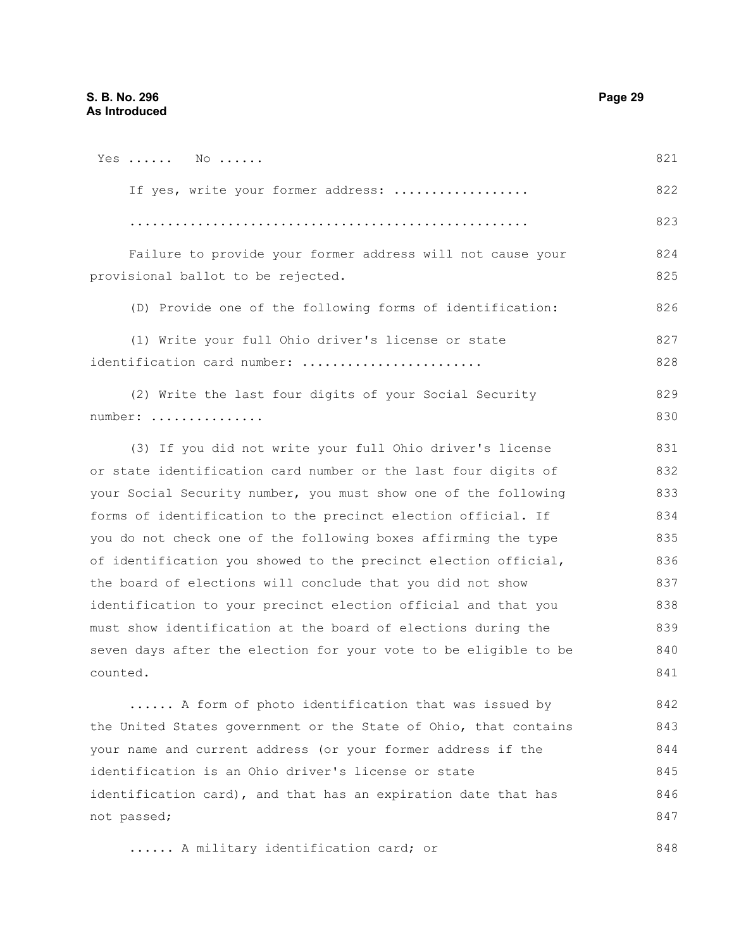| Yes $NO$                                                        | 821 |
|-----------------------------------------------------------------|-----|
| If yes, write your former address:                              | 822 |
|                                                                 | 823 |
| Failure to provide your former address will not cause your      | 824 |
| provisional ballot to be rejected.                              | 825 |
| (D) Provide one of the following forms of identification:       | 826 |
| (1) Write your full Ohio driver's license or state              | 827 |
| identification card number:                                     | 828 |
| (2) Write the last four digits of your Social Security          | 829 |
|                                                                 |     |
| number:                                                         | 830 |
| (3) If you did not write your full Ohio driver's license        | 831 |
| or state identification card number or the last four digits of  | 832 |
| your Social Security number, you must show one of the following | 833 |
| forms of identification to the precinct election official. If   | 834 |
| you do not check one of the following boxes affirming the type  | 835 |
| of identification you showed to the precinct election official, | 836 |

the board of e identification to your precinct election official and that you must show identification at the board of elections during the seven days after the election for your vote to be eligible to be counted. 7 838 839 840 841

...... A form of photo identification that was issued by the United States government or the State of Ohio, that contains your name and current address (or your former address if the identification is an Ohio driver's license or state identification card), and that has an expiration date that has not passed; 842 843 844 845 846 847

...... A military identification card; or 848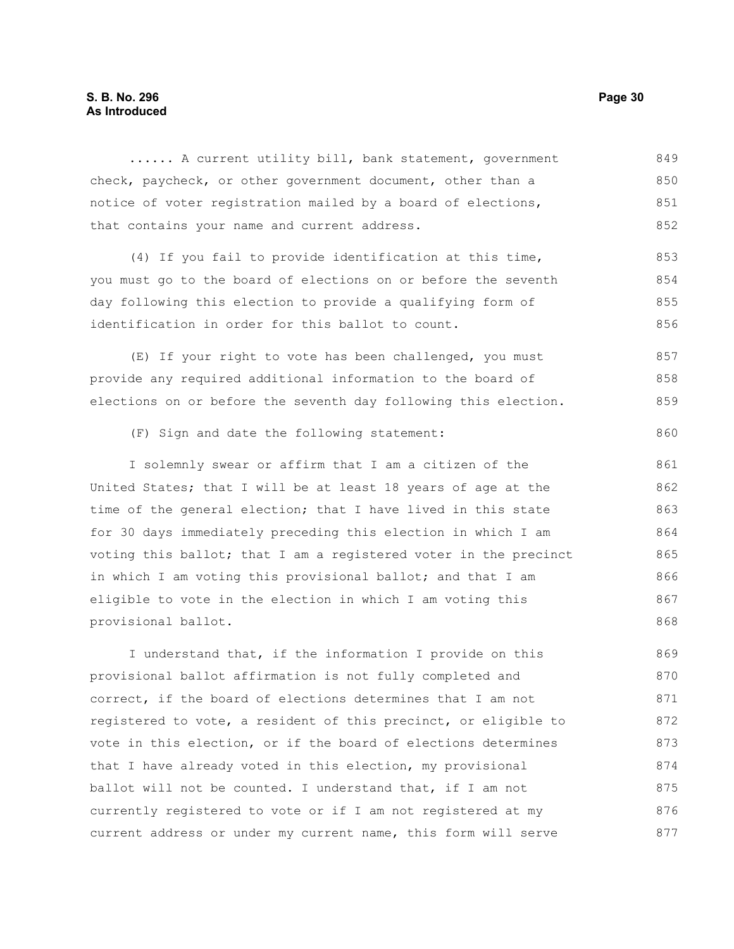...... A current utility bill, bank statement, government check, paycheck, or other government document, other than a notice of voter registration mailed by a board of elections, that contains your name and current address. (4) If you fail to provide identification at this time, you must go to the board of elections on or before the seventh day following this election to provide a qualifying form of identification in order for this ballot to count. (E) If your right to vote has been challenged, you must provide any required additional information to the board of elections on or before the seventh day following this election. (F) Sign and date the following statement: I solemnly swear or affirm that I am a citizen of the United States; that I will be at least 18 years of age at the time of the general election; that I have lived in this state for 30 days immediately preceding this election in which I am voting this ballot; that I am a registered voter in the precinct in which I am voting this provisional ballot; and that I am eligible to vote in the election in which I am voting this provisional ballot. I understand that, if the information I provide on this provisional ballot affirmation is not fully completed and correct, if the board of elections determines that I am not registered to vote, a resident of this precinct, or eligible to vote in this election, or if the board of elections determines that I have already voted in this election, my provisional ballot will not be counted. I understand that, if I am not currently registered to vote or if I am not registered at my current address or under my current name, this form will serve 849 850 851 852 853 854 855 856 857 858 859 860 861 862 863 864 865 866 867 868 869 870 871 872 873 874 875 876 877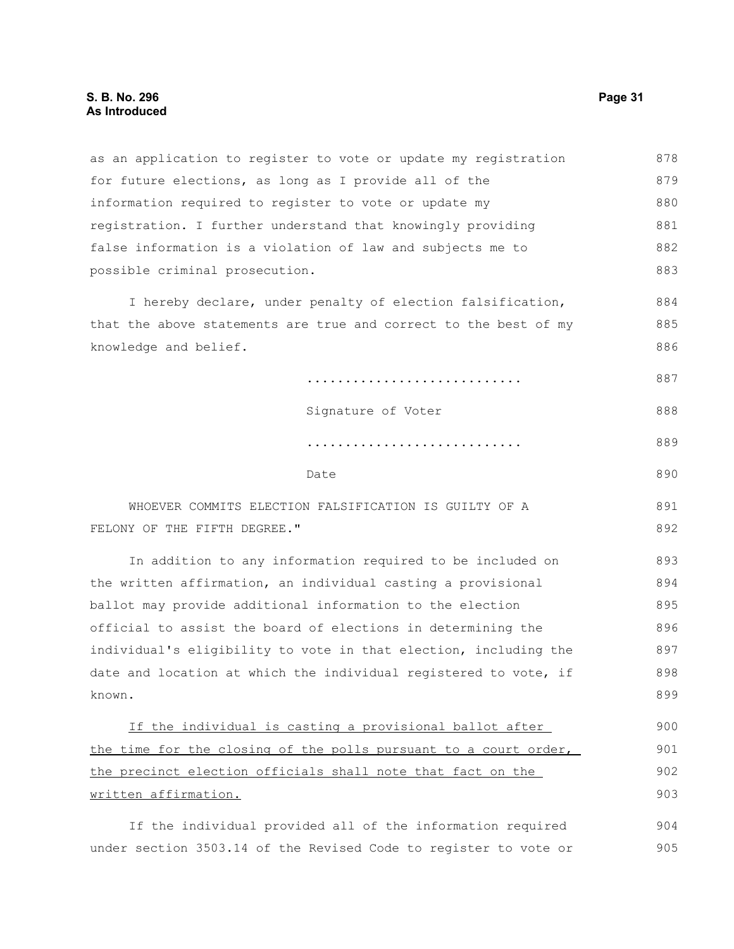as an application to register to vote or update my registration for future elections, as long as I provide all of the information required to register to vote or update my registration. I further understand that knowingly providing false information is a violation of law and subjects me to possible criminal prosecution. I hereby declare, under penalty of election falsification, that the above statements are true and correct to the best of my knowledge and belief. ............................ Signature of Voter ............................ Date WHOEVER COMMITS ELECTION FALSIFICATION IS GUILTY OF A FELONY OF THE FIFTH DEGREE." In addition to any information required to be included on the written affirmation, an individual casting a provisional ballot may provide additional information to the election official to assist the board of elections in determining the individual's eligibility to vote in that election, including the date and location at which the individual registered to vote, if known. If the individual is casting a provisional ballot after the time for the closing of the polls pursuant to a court order, the precinct election officials shall note that fact on the written affirmation. If the individual provided all of the information required 878 879 880 881 882 883 884 885 886 887 888 889 890 891 892 893 894 895 896 897 898 899 900 901 902 903 904

under section 3503.14 of the Revised Code to register to vote or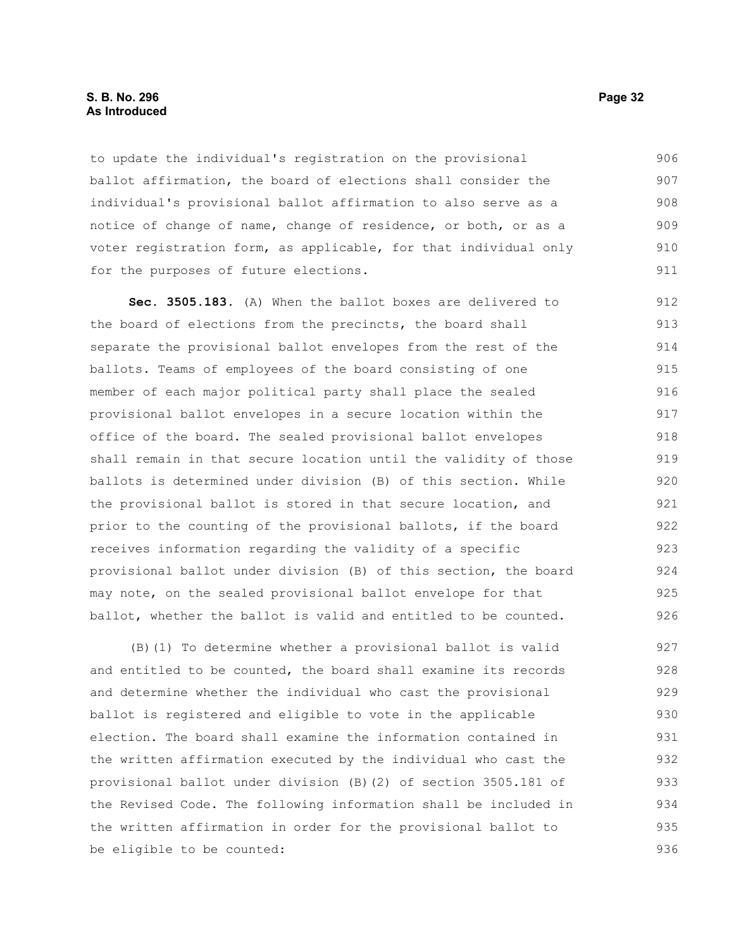### **S. B. No. 296 Page 32 As Introduced**

to update the individual's registration on the provisional ballot affirmation, the board of elections shall consider the individual's provisional ballot affirmation to also serve as a notice of change of name, change of residence, or both, or as a voter registration form, as applicable, for that individual only for the purposes of future elections. 906 907 908 909 910 911

**Sec. 3505.183.** (A) When the ballot boxes are delivered to the board of elections from the precincts, the board shall separate the provisional ballot envelopes from the rest of the ballots. Teams of employees of the board consisting of one member of each major political party shall place the sealed provisional ballot envelopes in a secure location within the office of the board. The sealed provisional ballot envelopes shall remain in that secure location until the validity of those ballots is determined under division (B) of this section. While the provisional ballot is stored in that secure location, and prior to the counting of the provisional ballots, if the board receives information regarding the validity of a specific provisional ballot under division (B) of this section, the board may note, on the sealed provisional ballot envelope for that ballot, whether the ballot is valid and entitled to be counted. 912 913 914 915 916 917 918 919 920 921 922 923 924 925 926

(B)(1) To determine whether a provisional ballot is valid and entitled to be counted, the board shall examine its records and determine whether the individual who cast the provisional ballot is registered and eligible to vote in the applicable election. The board shall examine the information contained in the written affirmation executed by the individual who cast the provisional ballot under division (B)(2) of section 3505.181 of the Revised Code. The following information shall be included in the written affirmation in order for the provisional ballot to be eligible to be counted: 927 928 929 930 931 932 933 934 935 936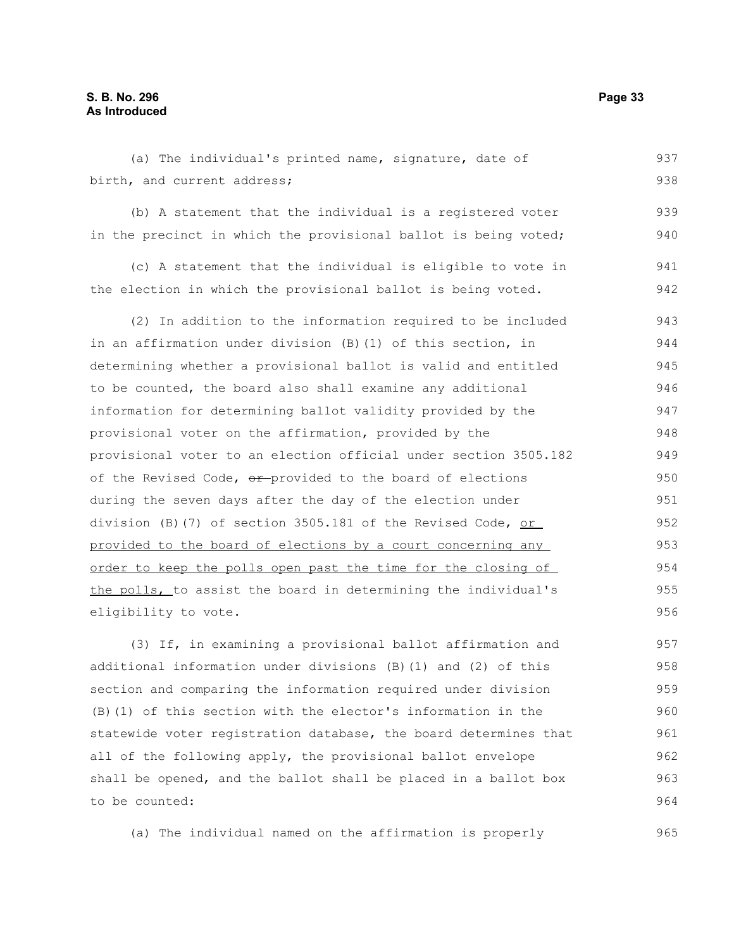### **S. B. No. 296 Page 33 As Introduced**

(a) The individual's printed name, signature, date of birth, and current address; (b) A statement that the individual is a registered voter in the precinct in which the provisional ballot is being voted; (c) A statement that the individual is eligible to vote in the election in which the provisional ballot is being voted. (2) In addition to the information required to be included in an affirmation under division (B)(1) of this section, in determining whether a provisional ballot is valid and entitled to be counted, the board also shall examine any additional information for determining ballot validity provided by the provisional voter on the affirmation, provided by the provisional voter to an election official under section 3505.182 of the Revised Code, or provided to the board of elections during the seven days after the day of the election under division (B)(7) of section 3505.181 of the Revised Code, or provided to the board of elections by a court concerning any order to keep the polls open past the time for the closing of the polls, to assist the board in determining the individual's eligibility to vote. 937 938 939 940 941 942 943 944 945 946 947 948 949 950 951 952 953 954 955 956

(3) If, in examining a provisional ballot affirmation and additional information under divisions (B)(1) and (2) of this section and comparing the information required under division (B)(1) of this section with the elector's information in the statewide voter registration database, the board determines that all of the following apply, the provisional ballot envelope shall be opened, and the ballot shall be placed in a ballot box to be counted: 957 958 959 960 961 962 963 964

(a) The individual named on the affirmation is properly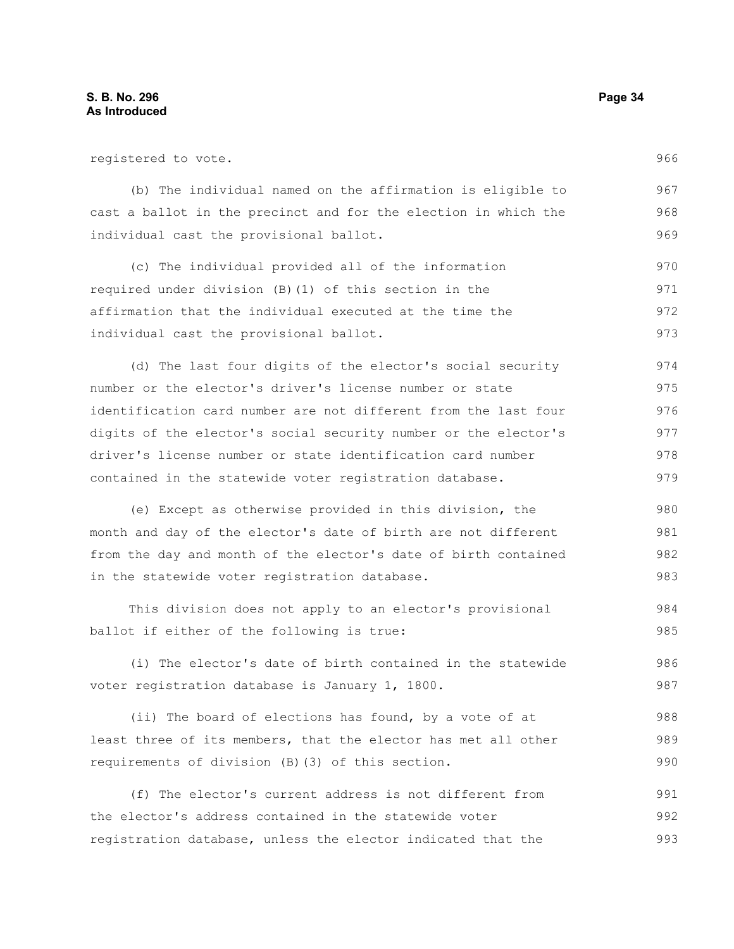| registered to vote.                                             | 966 |
|-----------------------------------------------------------------|-----|
| (b) The individual named on the affirmation is eligible to      | 967 |
| cast a ballot in the precinct and for the election in which the | 968 |
| individual cast the provisional ballot.                         | 969 |
| (c) The individual provided all of the information              | 970 |
| required under division (B) (1) of this section in the          | 971 |
| affirmation that the individual executed at the time the        | 972 |
| individual cast the provisional ballot.                         | 973 |
| (d) The last four digits of the elector's social security       | 974 |
| number or the elector's driver's license number or state        | 975 |
| identification card number are not different from the last four | 976 |
| digits of the elector's social security number or the elector's | 977 |
| driver's license number or state identification card number     | 978 |
| contained in the statewide voter registration database.         | 979 |
| (e) Except as otherwise provided in this division, the          | 980 |
| month and day of the elector's date of birth are not different  | 981 |
| from the day and month of the elector's date of birth contained | 982 |
| in the statewide voter registration database.                   | 983 |
| This division does not apply to an elector's provisional        | 984 |
| ballot if either of the following is true:                      | 985 |
| (i) The elector's date of birth contained in the statewide      | 986 |
| voter registration database is January 1, 1800.                 | 987 |
| (ii) The board of elections has found, by a vote of at          | 988 |
| least three of its members, that the elector has met all other  | 989 |
| requirements of division (B) (3) of this section.               | 990 |
| (f) The elector's current address is not different from         | 991 |
| the elector's address contained in the statewide voter          | 992 |
| registration database, unless the elector indicated that the    | 993 |
|                                                                 |     |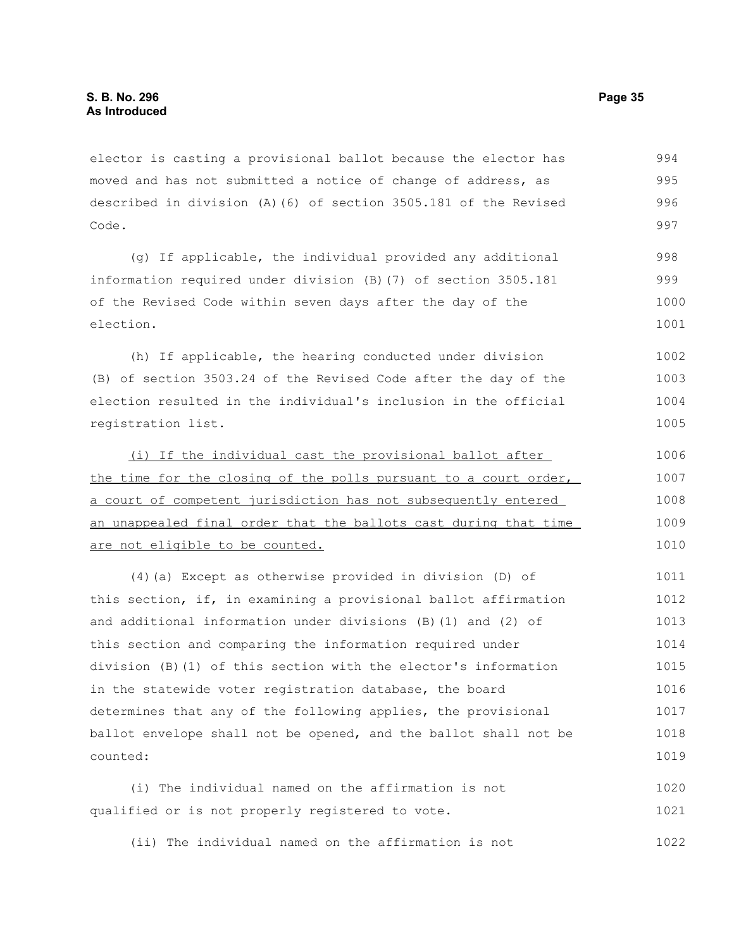elector is casting a provisional ballot because the elector has moved and has not submitted a notice of change of address, as described in division (A)(6) of section 3505.181 of the Revised Code. 994 995 996 997

(g) If applicable, the individual provided any additional information required under division (B)(7) of section 3505.181 of the Revised Code within seven days after the day of the election. 998 999 1000 1001

(h) If applicable, the hearing conducted under division (B) of section 3503.24 of the Revised Code after the day of the election resulted in the individual's inclusion in the official registration list.

(i) If the individual cast the provisional ballot after the time for the closing of the polls pursuant to a court order, a court of competent jurisdiction has not subsequently entered an unappealed final order that the ballots cast during that time are not eligible to be counted. 1006 1007 1008 1009 1010

(4)(a) Except as otherwise provided in division (D) of this section, if, in examining a provisional ballot affirmation and additional information under divisions (B)(1) and (2) of this section and comparing the information required under division (B)(1) of this section with the elector's information in the statewide voter registration database, the board determines that any of the following applies, the provisional ballot envelope shall not be opened, and the ballot shall not be counted: 1011 1012 1013 1014 1015 1016 1017 1018 1019

(i) The individual named on the affirmation is not qualified or is not properly registered to vote. 1020 1021

(ii) The individual named on the affirmation is not 1022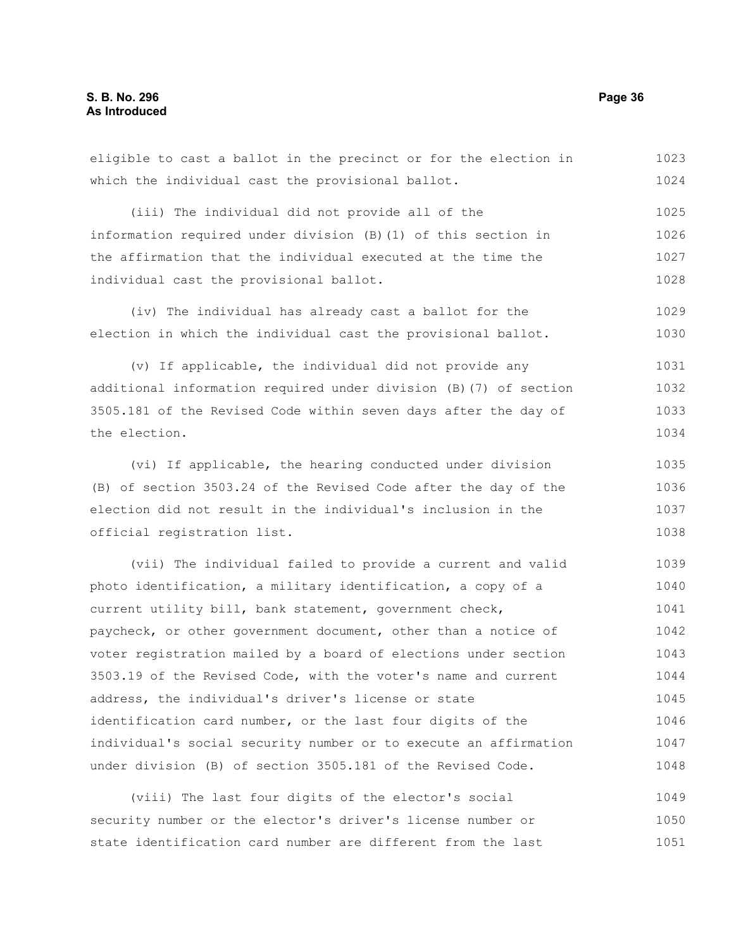which the individual cast the provisional ballot. (iii) The individual did not provide all of the information required under division (B)(1) of this section in the affirmation that the individual executed at the time the individual cast the provisional ballot. (iv) The individual has already cast a ballot for the election in which the individual cast the provisional ballot. (v) If applicable, the individual did not provide any additional information required under division (B)(7) of section 3505.181 of the Revised Code within seven days after the day of the election. (vi) If applicable, the hearing conducted under division (B) of section 3503.24 of the Revised Code after the day of the election did not result in the individual's inclusion in the official registration list. (vii) The individual failed to provide a current and valid photo identification, a military identification, a copy of a current utility bill, bank statement, government check, paycheck, or other government document, other than a notice of voter registration mailed by a board of elections under section 3503.19 of the Revised Code, with the voter's name and current address, the individual's driver's license or state identification card number, or the last four digits of the individual's social security number or to execute an affirmation under division (B) of section 3505.181 of the Revised Code. (viii) The last four digits of the elector's social security number or the elector's driver's license number or 1024 1025 1026 1027 1028 1029 1030 1031 1032 1033 1034 1035 1036 1037 1038 1039 1040 1041 1042 1043 1044 1045 1046 1047 1048 1049 1050

eligible to cast a ballot in the precinct or for the election in

state identification card number are different from the last 1051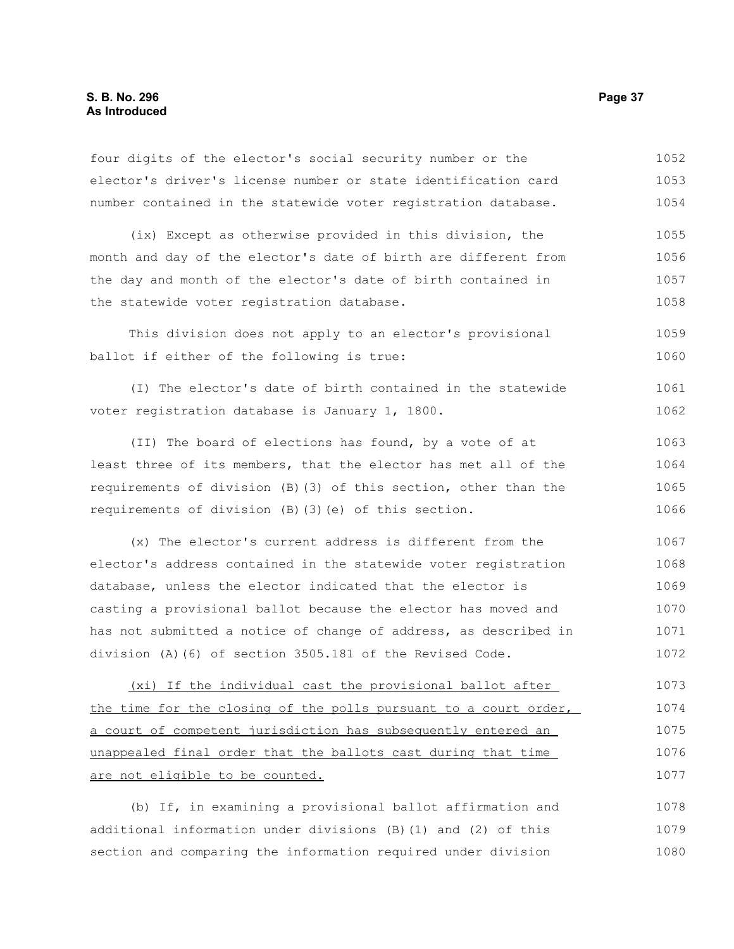### **S. B. No. 296 Page 37 As Introduced**

| four digits of the elector's social security number or the       | 1052 |
|------------------------------------------------------------------|------|
| elector's driver's license number or state identification card   | 1053 |
| number contained in the statewide voter registration database.   | 1054 |
| (ix) Except as otherwise provided in this division, the          | 1055 |
| month and day of the elector's date of birth are different from  | 1056 |
| the day and month of the elector's date of birth contained in    | 1057 |
| the statewide voter registration database.                       | 1058 |
| This division does not apply to an elector's provisional         | 1059 |
| ballot if either of the following is true:                       | 1060 |
| (I) The elector's date of birth contained in the statewide       | 1061 |
| voter registration database is January 1, 1800.                  | 1062 |
| (II) The board of elections has found, by a vote of at           | 1063 |
| least three of its members, that the elector has met all of the  | 1064 |
| requirements of division (B) (3) of this section, other than the | 1065 |
| requirements of division (B) (3) (e) of this section.            | 1066 |
| (x) The elector's current address is different from the          | 1067 |
| elector's address contained in the statewide voter registration  | 1068 |
| database, unless the elector indicated that the elector is       | 1069 |
| casting a provisional ballot because the elector has moved and   | 1070 |
| has not submitted a notice of change of address, as described in | 1071 |
| division (A) (6) of section 3505.181 of the Revised Code.        | 1072 |
| (xi) If the individual cast the provisional ballot after         | 1073 |
| the time for the closing of the polls pursuant to a court order, | 1074 |
| a court of competent jurisdiction has subsequently entered an    | 1075 |
| unappealed final order that the ballots cast during that time    | 1076 |
| are not eligible to be counted.                                  | 1077 |
| (b) If, in examining a provisional ballot affirmation and        | 1078 |
| additional information under divisions (B) (1) and (2) of this   | 1079 |
| section and comparing the information required under division    | 1080 |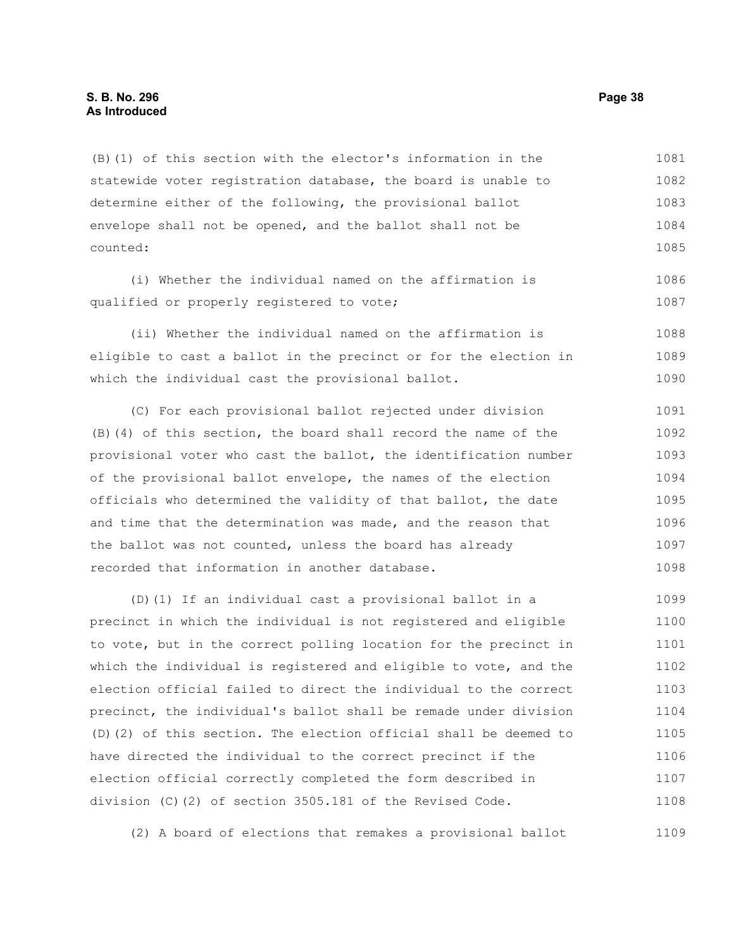(B)(1) of this section with the elector's information in the statewide voter registration database, the board is unable to determine either of the following, the provisional ballot envelope shall not be opened, and the ballot shall not be counted: 1081 1082 1083 1084 1085

(i) Whether the individual named on the affirmation is qualified or properly registered to vote;

(ii) Whether the individual named on the affirmation is eligible to cast a ballot in the precinct or for the election in which the individual cast the provisional ballot. 1088 1089 1090

(C) For each provisional ballot rejected under division (B)(4) of this section, the board shall record the name of the provisional voter who cast the ballot, the identification number of the provisional ballot envelope, the names of the election officials who determined the validity of that ballot, the date and time that the determination was made, and the reason that the ballot was not counted, unless the board has already recorded that information in another database. 1091 1092 1093 1094 1095 1096 1097 1098

(D)(1) If an individual cast a provisional ballot in a precinct in which the individual is not registered and eligible to vote, but in the correct polling location for the precinct in which the individual is registered and eligible to vote, and the election official failed to direct the individual to the correct precinct, the individual's ballot shall be remade under division (D)(2) of this section. The election official shall be deemed to have directed the individual to the correct precinct if the election official correctly completed the form described in division (C)(2) of section 3505.181 of the Revised Code. 1099 1100 1101 1102 1103 1104 1105 1106 1107 1108

(2) A board of elections that remakes a provisional ballot 1109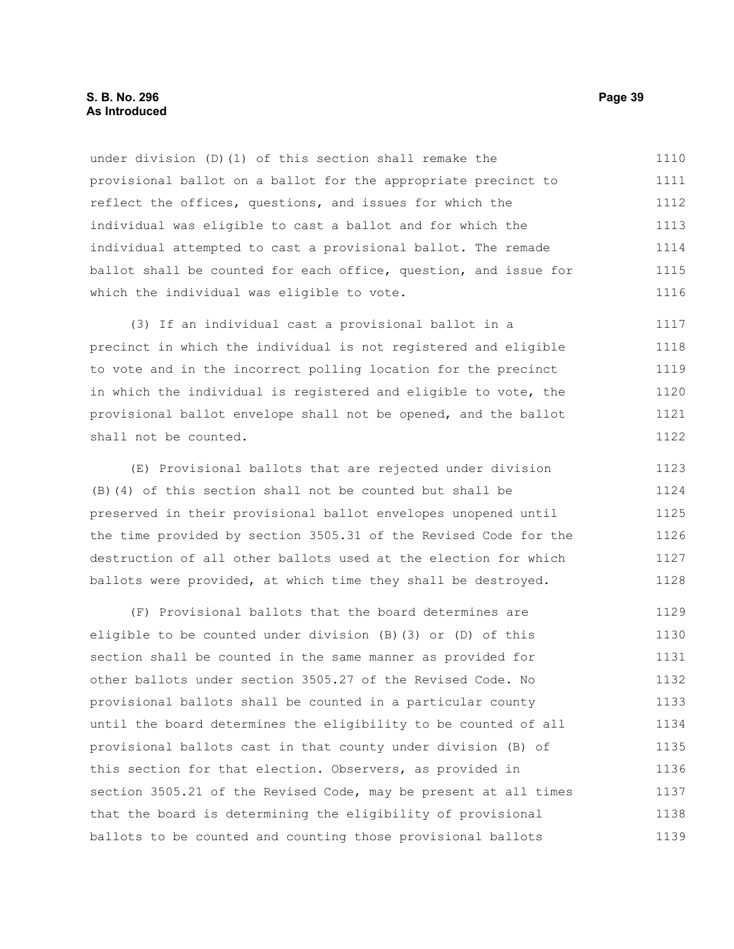under division (D)(1) of this section shall remake the provisional ballot on a ballot for the appropriate precinct to reflect the offices, questions, and issues for which the individual was eligible to cast a ballot and for which the individual attempted to cast a provisional ballot. The remade ballot shall be counted for each office, question, and issue for which the individual was eligible to vote. 1110 1111 1112 1113 1114 1115 1116

(3) If an individual cast a provisional ballot in a precinct in which the individual is not registered and eligible to vote and in the incorrect polling location for the precinct in which the individual is registered and eligible to vote, the provisional ballot envelope shall not be opened, and the ballot shall not be counted. 1117 1118 1119 1120 1121 1122

(E) Provisional ballots that are rejected under division (B)(4) of this section shall not be counted but shall be preserved in their provisional ballot envelopes unopened until the time provided by section 3505.31 of the Revised Code for the destruction of all other ballots used at the election for which ballots were provided, at which time they shall be destroyed. 1123 1124 1125 1126 1127 1128

(F) Provisional ballots that the board determines are eligible to be counted under division (B)(3) or (D) of this section shall be counted in the same manner as provided for other ballots under section 3505.27 of the Revised Code. No provisional ballots shall be counted in a particular county until the board determines the eligibility to be counted of all provisional ballots cast in that county under division (B) of this section for that election. Observers, as provided in section 3505.21 of the Revised Code, may be present at all times that the board is determining the eligibility of provisional ballots to be counted and counting those provisional ballots 1129 1130 1131 1132 1133 1134 1135 1136 1137 1138 1139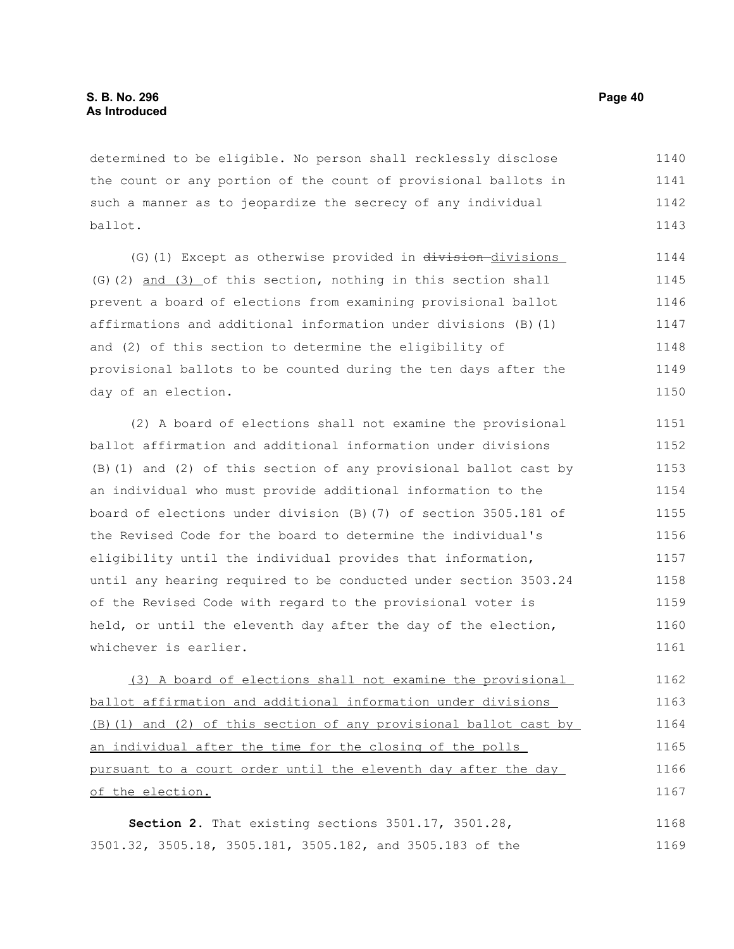determined to be eligible. No person shall recklessly disclose the count or any portion of the count of provisional ballots in such a manner as to jeopardize the secrecy of any individual ballot. 1140 1141 1142 1143

(G)(1) Except as otherwise provided in division-divisions (G)(2) and (3) of this section, nothing in this section shall prevent a board of elections from examining provisional ballot affirmations and additional information under divisions (B)(1) and (2) of this section to determine the eligibility of provisional ballots to be counted during the ten days after the day of an election. 1144 1145 1146 1147 1148 1149 1150

(2) A board of elections shall not examine the provisional ballot affirmation and additional information under divisions (B)(1) and (2) of this section of any provisional ballot cast by an individual who must provide additional information to the board of elections under division (B)(7) of section 3505.181 of the Revised Code for the board to determine the individual's eligibility until the individual provides that information, until any hearing required to be conducted under section 3503.24 of the Revised Code with regard to the provisional voter is held, or until the eleventh day after the day of the election, whichever is earlier. 1151 1152 1153 1154 1155 1156 1157 1158 1159 1160 1161

(3) A board of elections shall not examine the provisional ballot affirmation and additional information under divisions (B)(1) and (2) of this section of any provisional ballot cast by an individual after the time for the closing of the polls pursuant to a court order until the eleventh day after the day of the election. 1162 1163 1164 1165 1166 1167

**Section 2.** That existing sections 3501.17, 3501.28, 3501.32, 3505.18, 3505.181, 3505.182, and 3505.183 of the 1168 1169